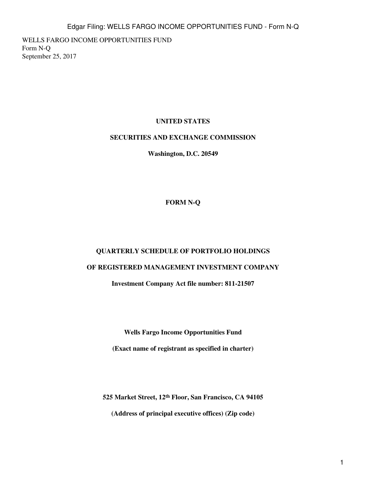WELLS FARGO INCOME OPPORTUNITIES FUND Form N-Q September 25, 2017

# **UNITED STATES**

## **SECURITIES AND EXCHANGE COMMISSION**

**Washington, D.C. 20549**

# **FORM N-Q**

## **QUARTERLY SCHEDULE OF PORTFOLIO HOLDINGS**

# **OF REGISTERED MANAGEMENT INVESTMENT COMPANY**

**Investment Company Act file number: 811-21507**

**Wells Fargo Income Opportunities Fund**

**(Exact name of registrant as specified in charter)**

**525 Market Street, 12th Floor, San Francisco, CA 94105 (Address of principal executive offices) (Zip code)**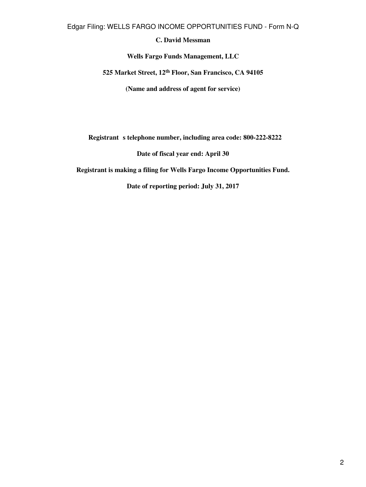## **C. David Messman**

**Wells Fargo Funds Management, LLC**

**525 Market Street, 12th Floor, San Francisco, CA 94105**

**(Name and address of agent for service)**

**Registrant** s telephone number, including area code: 800-222-8222

**Date of fiscal year end: April 30**

**Registrant is making a filing for Wells Fargo Income Opportunities Fund.**

**Date of reporting period: July 31, 2017**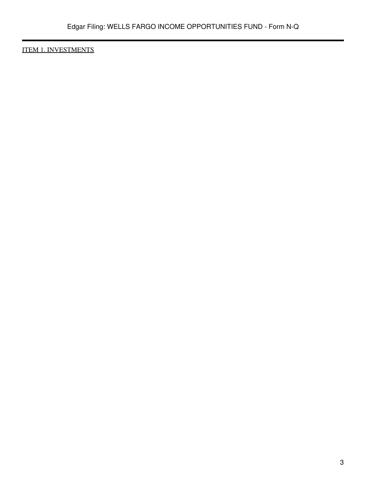ITEM 1. INVESTMENTS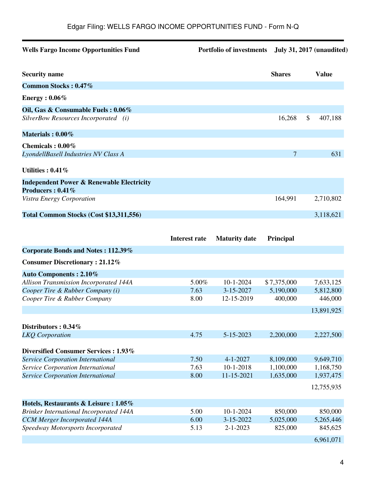| <b>Wells Fargo Income Opportunities Fund</b>                               | Portfolio of investments July 31, 2017 (unaudited) |                |               |
|----------------------------------------------------------------------------|----------------------------------------------------|----------------|---------------|
| <b>Security name</b>                                                       |                                                    | <b>Shares</b>  | <b>Value</b>  |
| Common Stocks: 0.47%                                                       |                                                    |                |               |
| Energy : $0.06\%$                                                          |                                                    |                |               |
| Oil, Gas & Consumable Fuels: 0.06%<br>SilverBow Resources Incorporated (i) |                                                    | 16,268         | \$<br>407,188 |
| Materials: $0.00\%$                                                        |                                                    |                |               |
| Chemicals: 0.00%<br>LyondellBasell Industries NV Class A                   |                                                    | $\overline{7}$ | 631           |
| Utilities: $0.41\%$                                                        |                                                    |                |               |
| <b>Independent Power &amp; Renewable Electricity</b><br>Producers: 0.41%   |                                                    |                |               |
| Vistra Energy Corporation                                                  |                                                    | 164,991        | 2,710,802     |
| Total Common Stocks (Cost \$13,311,556)                                    |                                                    |                | 3,118,621     |

|                                                | <b>Interest rate</b> | <b>Maturity date</b> | Principal   |            |
|------------------------------------------------|----------------------|----------------------|-------------|------------|
| Corporate Bonds and Notes: 112.39%             |                      |                      |             |            |
| <b>Consumer Discretionary: 21.12%</b>          |                      |                      |             |            |
| <b>Auto Components: 2.10%</b>                  |                      |                      |             |            |
| <b>Allison Transmission Incorporated 144A</b>  | 5.00%                | $10 - 1 - 2024$      | \$7,375,000 | 7,633,125  |
| Cooper Tire & Rubber Company (i)               | 7.63                 | 3-15-2027            | 5,190,000   | 5,812,800  |
| Cooper Tire & Rubber Company                   | 8.00                 | 12-15-2019           | 400,000     | 446,000    |
|                                                |                      |                      |             | 13,891,925 |
| Distributors : $0.34\%$                        |                      |                      |             |            |
|                                                | 4.75                 | 5-15-2023            |             |            |
| <b>LKQ</b> Corporation                         |                      |                      | 2,200,000   | 2,227,500  |
| Diversified Consumer Services : 1.93%          |                      |                      |             |            |
| <b>Service Corporation International</b>       | 7.50                 | $4 - 1 - 2027$       | 8,109,000   | 9,649,710  |
| Service Corporation International              | 7.63                 | $10-1-2018$          | 1,100,000   | 1,168,750  |
| Service Corporation International              | 8.00                 | 11-15-2021           | 1,635,000   | 1,937,475  |
|                                                |                      |                      |             | 12,755,935 |
|                                                |                      |                      |             |            |
| Hotels, Restaurants & Leisure: 1.05%           |                      |                      |             |            |
| <b>Brinker International Incorporated 144A</b> | 5.00                 | $10-1-2024$          | 850,000     | 850,000    |
| <b>CCM</b> Merger Incorporated 144A            | 6.00                 | 3-15-2022            | 5,025,000   | 5,265,446  |
| Speedway Motorsports Incorporated              | 5.13                 | $2 - 1 - 2023$       | 825,000     | 845,625    |
|                                                |                      |                      |             | 6,961,071  |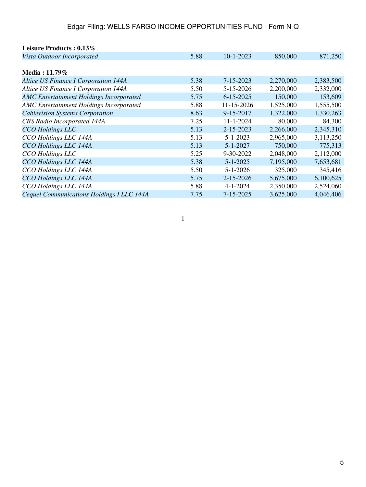| Leisure Products: 0.13%                        |      |                 |           |           |
|------------------------------------------------|------|-----------------|-----------|-----------|
| Vista Outdoor Incorporated                     | 5.88 | $10 - 1 - 2023$ | 850,000   | 871,250   |
|                                                |      |                 |           |           |
| Media: $11.79\%$                               |      |                 |           |           |
| <b>Altice US Finance I Corporation 144A</b>    | 5.38 | 7-15-2023       | 2,270,000 | 2,383,500 |
| Altice US Finance I Corporation 144A           | 5.50 | 5-15-2026       | 2,200,000 | 2,332,000 |
| <b>AMC Entertainment Holdings Incorporated</b> | 5.75 | $6 - 15 - 2025$ | 150,000   | 153,609   |
| <b>AMC Entertainment Holdings Incorporated</b> | 5.88 | 11-15-2026      | 1,525,000 | 1,555,500 |
| <b>Cablevision Systems Corporation</b>         | 8.63 | 9-15-2017       | 1,322,000 | 1,330,263 |
| <b>CBS</b> Radio Incorporated 144A             | 7.25 | $11 - 1 - 2024$ | 80,000    | 84,300    |
| <b>CCO</b> Holdings LLC                        | 5.13 | 2-15-2023       | 2,266,000 | 2,345,310 |
| CCO Holdings LLC 144A                          | 5.13 | $5 - 1 - 2023$  | 2,965,000 | 3,113,250 |
| CCO Holdings LLC 144A                          | 5.13 | $5 - 1 - 2027$  | 750,000   | 775,313   |
| CCO Holdings LLC                               | 5.25 | $9 - 30 - 2022$ | 2,048,000 | 2,112,000 |
| CCO Holdings LLC 144A                          | 5.38 | $5 - 1 - 2025$  | 7,195,000 | 7,653,681 |
| CCO Holdings LLC 144A                          | 5.50 | $5 - 1 - 2026$  | 325,000   | 345,416   |
| CCO Holdings LLC 144A                          | 5.75 | $2 - 15 - 2026$ | 5,675,000 | 6,100,625 |
| CCO Holdings LLC 144A                          | 5.88 | $4 - 1 - 2024$  | 2,350,000 | 2,524,060 |
| Cequel Communications Holdings I LLC 144A      | 7.75 | 7-15-2025       | 3,625,000 | 4,046,406 |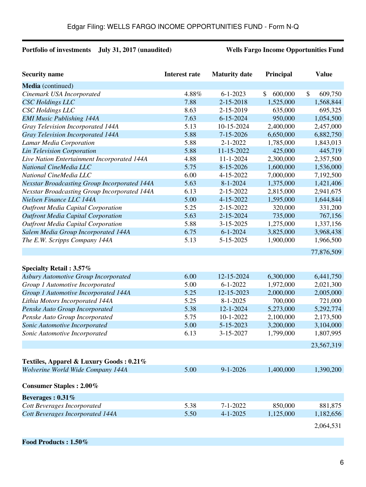# **Portfolio of investments July 31, 2017 (unaudited) Wells Fargo Income Opportunities Fund**

| <b>Security name</b>                                | <b>Interest rate</b> | <b>Maturity date</b> | Principal     | <b>Value</b>  |
|-----------------------------------------------------|----------------------|----------------------|---------------|---------------|
| Media (continued)                                   |                      |                      |               |               |
| Cinemark USA Incorporated                           | 4.88%                | $6 - 1 - 2023$       | \$<br>600,000 | \$<br>609,750 |
| <b>CSC</b> Holdings LLC                             | 7.88                 | 2-15-2018            | 1,525,000     | 1,568,844     |
| <b>CSC</b> Holdings LLC                             | 8.63                 | 2-15-2019            | 635,000       | 695,325       |
| <b>EMI Music Publishing 144A</b>                    | 7.63                 | $6 - 15 - 2024$      | 950,000       | 1,054,500     |
| Gray Television Incorporated 144A                   | 5.13                 | 10-15-2024           | 2,400,000     | 2,457,000     |
| Gray Television Incorporated 144A                   | 5.88                 | $7 - 15 - 2026$      | 6,650,000     | 6,882,750     |
| Lamar Media Corporation                             | 5.88                 | $2 - 1 - 2022$       | 1,785,000     | 1,843,013     |
| <b>Lin Television Corporation</b>                   | 5.88                 | 11-15-2022           | 425,000       | 445,719       |
| Live Nation Entertainment Incorporated 144A         | 4.88                 | $11 - 1 - 2024$      | 2,300,000     | 2,357,500     |
| National CineMedia LLC                              | 5.75                 | 8-15-2026            | 1,600,000     | 1,536,000     |
| National CineMedia LLC                              | 6.00                 | 4-15-2022            | 7,000,000     | 7,192,500     |
| <b>Nexstar Broadcasting Group Incorporated 144A</b> | 5.63                 | $8 - 1 - 2024$       | 1,375,000     | 1,421,406     |
| <b>Nexstar Broadcasting Group Incorporated 144A</b> | 6.13                 | 2-15-2022            | 2,815,000     | 2,941,675     |
| Nielsen Finance LLC 144A                            | 5.00                 | 4-15-2022            | 1,595,000     | 1,644,844     |
| <b>Outfront Media Capital Corporation</b>           | 5.25                 | 2-15-2022            | 320,000       | 331,200       |
| <b>Outfront Media Capital Corporation</b>           | 5.63                 | 2-15-2024            | 735,000       | 767,156       |
| <b>Outfront Media Capital Corporation</b>           | 5.88                 | 3-15-2025            | 1,275,000     | 1,337,156     |
| Salem Media Group Incorporated 144A                 | 6.75                 | $6 - 1 - 2024$       | 3,825,000     | 3,968,438     |
| The E.W. Scripps Company 144A                       | 5.13                 | 5-15-2025            | 1,900,000     | 1,966,500     |
|                                                     |                      |                      |               | 77,876,509    |
| Specialty Retail: 3.57%                             |                      |                      |               |               |
| <b>Asbury Automotive Group Incorporated</b>         | 6.00                 | 12-15-2024           | 6,300,000     | 6,441,750     |
| Group 1 Automotive Incorporated                     | 5.00                 | $6 - 1 - 2022$       | 1,972,000     | 2,021,300     |
| Group 1 Automotive Incorporated 144A                | 5.25                 | 12-15-2023           | 2,000,000     | 2,005,000     |
| Lithia Motors Incorporated 144A                     | 5.25                 | $8 - 1 - 2025$       | 700,000       | 721,000       |
| Penske Auto Group Incorporated                      | 5.38                 | 12-1-2024            | 5,273,000     | 5,292,774     |
| Penske Auto Group Incorporated                      | 5.75                 | 10-1-2022            | 2,100,000     | 2,173,500     |
| Sonic Automotive Incorporated                       | 5.00                 | 5-15-2023            | 3,200,000     | 3,104,000     |
| Sonic Automotive Incorporated                       | 6.13                 | 3-15-2027            | 1,799,000     | 1,807,995     |
|                                                     |                      |                      |               | 23,567,319    |
| Textiles, Apparel & Luxury Goods: 0.21%             |                      |                      |               |               |
| Wolverine World Wide Company 144A                   | 5.00                 | $9 - 1 - 2026$       | 1,400,000     | 1,390,200     |
| <b>Consumer Staples : 2.00%</b>                     |                      |                      |               |               |
| Beverages: $0.31\%$                                 |                      |                      |               |               |
| Cott Beverages Incorporated                         | 5.38                 | $7 - 1 - 2022$       | 850,000       | 881,875       |
| <b>Cott Beverages Incorporated 144A</b>             | 5.50                 | $4 - 1 - 2025$       | 1,125,000     | 1,182,656     |
|                                                     |                      |                      |               | 2,064,531     |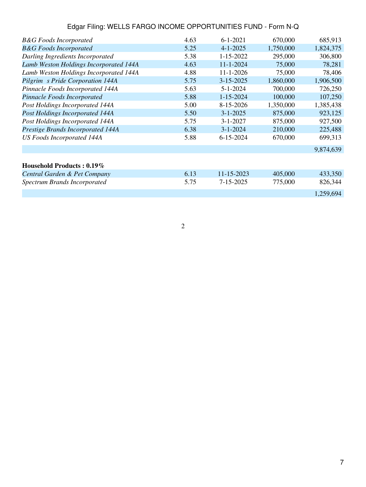| <b>B&amp;G</b> Foods Incorporated      | 4.63 | $6 - 1 - 2021$  | 670,000   | 685,913   |
|----------------------------------------|------|-----------------|-----------|-----------|
| <b>B&amp;G</b> Foods Incorporated      | 5.25 | $4 - 1 - 2025$  | 1,750,000 | 1,824,375 |
| Darling Ingredients Incorporated       | 5.38 | $1 - 15 - 2022$ | 295,000   | 306,800   |
| Lamb Weston Holdings Incorporated 144A | 4.63 | $11 - 1 - 2024$ | 75,000    | 78,281    |
| Lamb Weston Holdings Incorporated 144A | 4.88 | $11 - 1 - 2026$ | 75,000    | 78,406    |
| Pilgrim s Pride Corporation 144A       | 5.75 | $3 - 15 - 2025$ | 1,860,000 | 1,906,500 |
| Pinnacle Foods Incorporated 144A       | 5.63 | $5 - 1 - 2024$  | 700,000   | 726,250   |
| Pinnacle Foods Incorporated            | 5.88 | $1 - 15 - 2024$ | 100,000   | 107,250   |
| Post Holdings Incorporated 144A        | 5.00 | 8-15-2026       | 1,350,000 | 1,385,438 |
| <b>Post Holdings Incorporated 144A</b> | 5.50 | $3 - 1 - 2025$  | 875,000   | 923,125   |
| Post Holdings Incorporated 144A        | 5.75 | $3 - 1 - 2027$  | 875,000   | 927,500   |
| Prestige Brands Incorporated 144A      | 6.38 | $3 - 1 - 2024$  | 210,000   | 225,488   |
| <b>US Foods Incorporated 144A</b>      | 5.88 | $6 - 15 - 2024$ | 670,000   | 699,313   |
|                                        |      |                 |           | 9,874,639 |
| Household Products: 0.19%              |      |                 |           |           |
| Central Garden & Pet Company           | 6.13 | 11-15-2023      | 405,000   | 433,350   |
| <b>Spectrum Brands Incorporated</b>    | 5.75 | 7-15-2025       | 775,000   | 826,344   |
|                                        |      |                 |           | 1,259,694 |
|                                        |      |                 |           |           |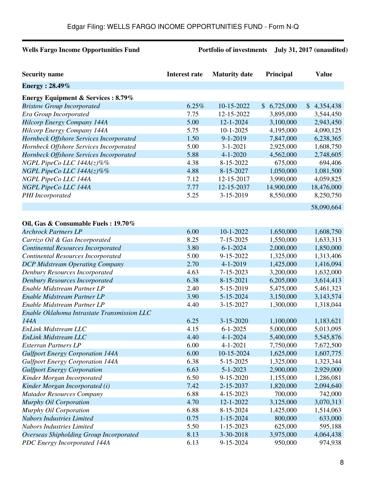# **Wells Fargo Income Opportunities Fund Portfolio of investments July 31, 2017 (unaudited)**

| <b>Energy</b> : 28.49%<br><b>Energy Equipment &amp; Services : 8.79%</b><br>6.25%<br>10-15-2022<br>\$6,725,000<br>\$4,354,438<br><b>Bristow Group Incorporated</b><br>7.75<br>12-15-2022<br>3,895,000<br>Era Group Incorporated<br>3,544,450<br>5.00<br>12-1-2024<br>3,100,000<br><b>Hilcorp Energy Company 144A</b><br>2,943,450<br>5.75<br><b>Hilcorp Energy Company 144A</b><br>$10-1-2025$<br>4,195,000<br>4,090,125<br>1.50<br>$9 - 1 - 2019$<br>Hornbeck Offshore Services Incorporated<br>7,847,000<br>6,238,365<br>5.00<br>Hornbeck Offshore Services Incorporated<br>$3 - 1 - 2021$<br>2,925,000<br>1,608,750<br>5.88<br>$4 - 1 - 2020$<br>4,562,000<br>2,748,605<br>Hornbeck Offshore Services Incorporated<br>4.38<br>675,000<br>694,406<br>NGPL PipeCo LLC 144A(z)%%<br>8-15-2022<br>4.88<br>1,050,000<br>1,081,500<br>NGPL PipeCo LLC 144A(z)%%<br>8-15-2027<br>3,990,000<br>7.12<br>12-15-2017<br>4,059,825<br>NGPL PipeCo LLC 144A<br>7.77<br>14,900,000<br>NGPL PipeCo LLC 144A<br>12-15-2037<br>18,476,000<br>5.25<br>3-15-2019<br>8,550,000<br>8,250,750<br>PHI Incorporated<br>58,090,664<br>Oil, Gas & Consumable Fuels: 19.70%<br>6.00<br><b>Archrock Partners LP</b><br>$10-1-2022$<br>1,650,000<br>1,608,750<br>8.25<br>1,550,000<br>1,633,313<br>Carrizo Oil & Gas Incorporated<br>7-15-2025<br>3.80<br>$6 - 1 - 2024$<br>2,000,000<br>1,850,000<br><b>Continental Resources Incorporated</b><br>5.00<br>9-15-2022<br>1,325,000<br>1,313,406<br>Continental Resources Incorporated<br>2.70<br>$4 - 1 - 2019$<br>1,416,094<br>1,425,000<br><b>DCP Midstream Operating Company</b><br><b>Denbury Resources Incorporated</b><br>4.63<br>7-15-2023<br>3,200,000<br>1,632,000<br>6.38<br>8-15-2021<br>6,205,000<br>3,614,413<br><b>Denbury Resources Incorporated</b><br>2.40<br>5-15-2019<br>Enable Midstream Partner LP<br>5,475,000<br>5,461,323<br>Enable Midstream Partner LP<br>3.90<br>5-15-2024<br>3,150,000<br>3,143,574<br>4.40<br>3-15-2027<br>Enable Midstream Partner LP<br>1,300,000<br>1,318,044<br>Enable Oklahoma Intrastate Transmission LLC<br>144A<br>6.25<br>1,100,000<br>$3 - 15 - 2020$<br>1,183,621<br>4.15<br>EnLink Midstream LLC<br>$6 - 1 - 2025$<br>5,000,000<br>5,013,095<br>4.40<br>$4 - 1 - 2024$<br>EnLink Midstream LLC<br>5,400,000<br>5,545,876<br>6.00<br>4-1-2021<br>7,750,000<br>7,672,500<br><b>Exterran Partners LP</b><br>6.00<br>1,625,000<br><b>Gulfport Energy Corporation 144A</b><br>10-15-2024<br>1,607,775<br>6.38<br>5-15-2025<br>1,325,000<br><b>Gulfport Energy Corporation 144A</b><br>1,323,344<br>6.63<br>$5 - 1 - 2023$<br>2,900,000<br>2,929,000<br><b>Gulfport Energy Corporation</b><br>6.50<br>9-15-2020<br>Kinder Morgan Incorporated<br>1,155,000<br>1,286,081<br>7.42<br>Kinder Morgan Incorporated (i)<br>2-15-2037<br>1,820,000<br>2,094,640<br>6.88<br><b>Matador Resources Company</b><br>4-15-2023<br>700,000<br>742,000<br>4.70<br>12-1-2022<br>3,125,000<br>3,070,313<br>Murphy Oil Corporation<br>6.88<br>Murphy Oil Corporation<br>8-15-2024<br>1,425,000<br>1,514,063<br>0.75<br>Nabors Industries Limited<br>$1 - 15 - 2024$<br>800,000<br>633,000 | <b>Security name</b> | <b>Interest rate</b> | <b>Maturity date</b> | Principal | <b>Value</b> |
|-------------------------------------------------------------------------------------------------------------------------------------------------------------------------------------------------------------------------------------------------------------------------------------------------------------------------------------------------------------------------------------------------------------------------------------------------------------------------------------------------------------------------------------------------------------------------------------------------------------------------------------------------------------------------------------------------------------------------------------------------------------------------------------------------------------------------------------------------------------------------------------------------------------------------------------------------------------------------------------------------------------------------------------------------------------------------------------------------------------------------------------------------------------------------------------------------------------------------------------------------------------------------------------------------------------------------------------------------------------------------------------------------------------------------------------------------------------------------------------------------------------------------------------------------------------------------------------------------------------------------------------------------------------------------------------------------------------------------------------------------------------------------------------------------------------------------------------------------------------------------------------------------------------------------------------------------------------------------------------------------------------------------------------------------------------------------------------------------------------------------------------------------------------------------------------------------------------------------------------------------------------------------------------------------------------------------------------------------------------------------------------------------------------------------------------------------------------------------------------------------------------------------------------------------------------------------------------------------------------------------------------------------------------------------------------------------------------------------------------------------------------------------------------------------------------------------------------------------------------------------------------------------------------------------------------------------------------------------------------------------------------------------------------------------------------------------------------------------------------------------------------------------|----------------------|----------------------|----------------------|-----------|--------------|
|                                                                                                                                                                                                                                                                                                                                                                                                                                                                                                                                                                                                                                                                                                                                                                                                                                                                                                                                                                                                                                                                                                                                                                                                                                                                                                                                                                                                                                                                                                                                                                                                                                                                                                                                                                                                                                                                                                                                                                                                                                                                                                                                                                                                                                                                                                                                                                                                                                                                                                                                                                                                                                                                                                                                                                                                                                                                                                                                                                                                                                                                                                                                                 |                      |                      |                      |           |              |
|                                                                                                                                                                                                                                                                                                                                                                                                                                                                                                                                                                                                                                                                                                                                                                                                                                                                                                                                                                                                                                                                                                                                                                                                                                                                                                                                                                                                                                                                                                                                                                                                                                                                                                                                                                                                                                                                                                                                                                                                                                                                                                                                                                                                                                                                                                                                                                                                                                                                                                                                                                                                                                                                                                                                                                                                                                                                                                                                                                                                                                                                                                                                                 |                      |                      |                      |           |              |
|                                                                                                                                                                                                                                                                                                                                                                                                                                                                                                                                                                                                                                                                                                                                                                                                                                                                                                                                                                                                                                                                                                                                                                                                                                                                                                                                                                                                                                                                                                                                                                                                                                                                                                                                                                                                                                                                                                                                                                                                                                                                                                                                                                                                                                                                                                                                                                                                                                                                                                                                                                                                                                                                                                                                                                                                                                                                                                                                                                                                                                                                                                                                                 |                      |                      |                      |           |              |
|                                                                                                                                                                                                                                                                                                                                                                                                                                                                                                                                                                                                                                                                                                                                                                                                                                                                                                                                                                                                                                                                                                                                                                                                                                                                                                                                                                                                                                                                                                                                                                                                                                                                                                                                                                                                                                                                                                                                                                                                                                                                                                                                                                                                                                                                                                                                                                                                                                                                                                                                                                                                                                                                                                                                                                                                                                                                                                                                                                                                                                                                                                                                                 |                      |                      |                      |           |              |
|                                                                                                                                                                                                                                                                                                                                                                                                                                                                                                                                                                                                                                                                                                                                                                                                                                                                                                                                                                                                                                                                                                                                                                                                                                                                                                                                                                                                                                                                                                                                                                                                                                                                                                                                                                                                                                                                                                                                                                                                                                                                                                                                                                                                                                                                                                                                                                                                                                                                                                                                                                                                                                                                                                                                                                                                                                                                                                                                                                                                                                                                                                                                                 |                      |                      |                      |           |              |
|                                                                                                                                                                                                                                                                                                                                                                                                                                                                                                                                                                                                                                                                                                                                                                                                                                                                                                                                                                                                                                                                                                                                                                                                                                                                                                                                                                                                                                                                                                                                                                                                                                                                                                                                                                                                                                                                                                                                                                                                                                                                                                                                                                                                                                                                                                                                                                                                                                                                                                                                                                                                                                                                                                                                                                                                                                                                                                                                                                                                                                                                                                                                                 |                      |                      |                      |           |              |
|                                                                                                                                                                                                                                                                                                                                                                                                                                                                                                                                                                                                                                                                                                                                                                                                                                                                                                                                                                                                                                                                                                                                                                                                                                                                                                                                                                                                                                                                                                                                                                                                                                                                                                                                                                                                                                                                                                                                                                                                                                                                                                                                                                                                                                                                                                                                                                                                                                                                                                                                                                                                                                                                                                                                                                                                                                                                                                                                                                                                                                                                                                                                                 |                      |                      |                      |           |              |
|                                                                                                                                                                                                                                                                                                                                                                                                                                                                                                                                                                                                                                                                                                                                                                                                                                                                                                                                                                                                                                                                                                                                                                                                                                                                                                                                                                                                                                                                                                                                                                                                                                                                                                                                                                                                                                                                                                                                                                                                                                                                                                                                                                                                                                                                                                                                                                                                                                                                                                                                                                                                                                                                                                                                                                                                                                                                                                                                                                                                                                                                                                                                                 |                      |                      |                      |           |              |
|                                                                                                                                                                                                                                                                                                                                                                                                                                                                                                                                                                                                                                                                                                                                                                                                                                                                                                                                                                                                                                                                                                                                                                                                                                                                                                                                                                                                                                                                                                                                                                                                                                                                                                                                                                                                                                                                                                                                                                                                                                                                                                                                                                                                                                                                                                                                                                                                                                                                                                                                                                                                                                                                                                                                                                                                                                                                                                                                                                                                                                                                                                                                                 |                      |                      |                      |           |              |
|                                                                                                                                                                                                                                                                                                                                                                                                                                                                                                                                                                                                                                                                                                                                                                                                                                                                                                                                                                                                                                                                                                                                                                                                                                                                                                                                                                                                                                                                                                                                                                                                                                                                                                                                                                                                                                                                                                                                                                                                                                                                                                                                                                                                                                                                                                                                                                                                                                                                                                                                                                                                                                                                                                                                                                                                                                                                                                                                                                                                                                                                                                                                                 |                      |                      |                      |           |              |
|                                                                                                                                                                                                                                                                                                                                                                                                                                                                                                                                                                                                                                                                                                                                                                                                                                                                                                                                                                                                                                                                                                                                                                                                                                                                                                                                                                                                                                                                                                                                                                                                                                                                                                                                                                                                                                                                                                                                                                                                                                                                                                                                                                                                                                                                                                                                                                                                                                                                                                                                                                                                                                                                                                                                                                                                                                                                                                                                                                                                                                                                                                                                                 |                      |                      |                      |           |              |
|                                                                                                                                                                                                                                                                                                                                                                                                                                                                                                                                                                                                                                                                                                                                                                                                                                                                                                                                                                                                                                                                                                                                                                                                                                                                                                                                                                                                                                                                                                                                                                                                                                                                                                                                                                                                                                                                                                                                                                                                                                                                                                                                                                                                                                                                                                                                                                                                                                                                                                                                                                                                                                                                                                                                                                                                                                                                                                                                                                                                                                                                                                                                                 |                      |                      |                      |           |              |
|                                                                                                                                                                                                                                                                                                                                                                                                                                                                                                                                                                                                                                                                                                                                                                                                                                                                                                                                                                                                                                                                                                                                                                                                                                                                                                                                                                                                                                                                                                                                                                                                                                                                                                                                                                                                                                                                                                                                                                                                                                                                                                                                                                                                                                                                                                                                                                                                                                                                                                                                                                                                                                                                                                                                                                                                                                                                                                                                                                                                                                                                                                                                                 |                      |                      |                      |           |              |
|                                                                                                                                                                                                                                                                                                                                                                                                                                                                                                                                                                                                                                                                                                                                                                                                                                                                                                                                                                                                                                                                                                                                                                                                                                                                                                                                                                                                                                                                                                                                                                                                                                                                                                                                                                                                                                                                                                                                                                                                                                                                                                                                                                                                                                                                                                                                                                                                                                                                                                                                                                                                                                                                                                                                                                                                                                                                                                                                                                                                                                                                                                                                                 |                      |                      |                      |           |              |
|                                                                                                                                                                                                                                                                                                                                                                                                                                                                                                                                                                                                                                                                                                                                                                                                                                                                                                                                                                                                                                                                                                                                                                                                                                                                                                                                                                                                                                                                                                                                                                                                                                                                                                                                                                                                                                                                                                                                                                                                                                                                                                                                                                                                                                                                                                                                                                                                                                                                                                                                                                                                                                                                                                                                                                                                                                                                                                                                                                                                                                                                                                                                                 |                      |                      |                      |           |              |
|                                                                                                                                                                                                                                                                                                                                                                                                                                                                                                                                                                                                                                                                                                                                                                                                                                                                                                                                                                                                                                                                                                                                                                                                                                                                                                                                                                                                                                                                                                                                                                                                                                                                                                                                                                                                                                                                                                                                                                                                                                                                                                                                                                                                                                                                                                                                                                                                                                                                                                                                                                                                                                                                                                                                                                                                                                                                                                                                                                                                                                                                                                                                                 |                      |                      |                      |           |              |
|                                                                                                                                                                                                                                                                                                                                                                                                                                                                                                                                                                                                                                                                                                                                                                                                                                                                                                                                                                                                                                                                                                                                                                                                                                                                                                                                                                                                                                                                                                                                                                                                                                                                                                                                                                                                                                                                                                                                                                                                                                                                                                                                                                                                                                                                                                                                                                                                                                                                                                                                                                                                                                                                                                                                                                                                                                                                                                                                                                                                                                                                                                                                                 |                      |                      |                      |           |              |
|                                                                                                                                                                                                                                                                                                                                                                                                                                                                                                                                                                                                                                                                                                                                                                                                                                                                                                                                                                                                                                                                                                                                                                                                                                                                                                                                                                                                                                                                                                                                                                                                                                                                                                                                                                                                                                                                                                                                                                                                                                                                                                                                                                                                                                                                                                                                                                                                                                                                                                                                                                                                                                                                                                                                                                                                                                                                                                                                                                                                                                                                                                                                                 |                      |                      |                      |           |              |
|                                                                                                                                                                                                                                                                                                                                                                                                                                                                                                                                                                                                                                                                                                                                                                                                                                                                                                                                                                                                                                                                                                                                                                                                                                                                                                                                                                                                                                                                                                                                                                                                                                                                                                                                                                                                                                                                                                                                                                                                                                                                                                                                                                                                                                                                                                                                                                                                                                                                                                                                                                                                                                                                                                                                                                                                                                                                                                                                                                                                                                                                                                                                                 |                      |                      |                      |           |              |
|                                                                                                                                                                                                                                                                                                                                                                                                                                                                                                                                                                                                                                                                                                                                                                                                                                                                                                                                                                                                                                                                                                                                                                                                                                                                                                                                                                                                                                                                                                                                                                                                                                                                                                                                                                                                                                                                                                                                                                                                                                                                                                                                                                                                                                                                                                                                                                                                                                                                                                                                                                                                                                                                                                                                                                                                                                                                                                                                                                                                                                                                                                                                                 |                      |                      |                      |           |              |
|                                                                                                                                                                                                                                                                                                                                                                                                                                                                                                                                                                                                                                                                                                                                                                                                                                                                                                                                                                                                                                                                                                                                                                                                                                                                                                                                                                                                                                                                                                                                                                                                                                                                                                                                                                                                                                                                                                                                                                                                                                                                                                                                                                                                                                                                                                                                                                                                                                                                                                                                                                                                                                                                                                                                                                                                                                                                                                                                                                                                                                                                                                                                                 |                      |                      |                      |           |              |
|                                                                                                                                                                                                                                                                                                                                                                                                                                                                                                                                                                                                                                                                                                                                                                                                                                                                                                                                                                                                                                                                                                                                                                                                                                                                                                                                                                                                                                                                                                                                                                                                                                                                                                                                                                                                                                                                                                                                                                                                                                                                                                                                                                                                                                                                                                                                                                                                                                                                                                                                                                                                                                                                                                                                                                                                                                                                                                                                                                                                                                                                                                                                                 |                      |                      |                      |           |              |
|                                                                                                                                                                                                                                                                                                                                                                                                                                                                                                                                                                                                                                                                                                                                                                                                                                                                                                                                                                                                                                                                                                                                                                                                                                                                                                                                                                                                                                                                                                                                                                                                                                                                                                                                                                                                                                                                                                                                                                                                                                                                                                                                                                                                                                                                                                                                                                                                                                                                                                                                                                                                                                                                                                                                                                                                                                                                                                                                                                                                                                                                                                                                                 |                      |                      |                      |           |              |
|                                                                                                                                                                                                                                                                                                                                                                                                                                                                                                                                                                                                                                                                                                                                                                                                                                                                                                                                                                                                                                                                                                                                                                                                                                                                                                                                                                                                                                                                                                                                                                                                                                                                                                                                                                                                                                                                                                                                                                                                                                                                                                                                                                                                                                                                                                                                                                                                                                                                                                                                                                                                                                                                                                                                                                                                                                                                                                                                                                                                                                                                                                                                                 |                      |                      |                      |           |              |
|                                                                                                                                                                                                                                                                                                                                                                                                                                                                                                                                                                                                                                                                                                                                                                                                                                                                                                                                                                                                                                                                                                                                                                                                                                                                                                                                                                                                                                                                                                                                                                                                                                                                                                                                                                                                                                                                                                                                                                                                                                                                                                                                                                                                                                                                                                                                                                                                                                                                                                                                                                                                                                                                                                                                                                                                                                                                                                                                                                                                                                                                                                                                                 |                      |                      |                      |           |              |
|                                                                                                                                                                                                                                                                                                                                                                                                                                                                                                                                                                                                                                                                                                                                                                                                                                                                                                                                                                                                                                                                                                                                                                                                                                                                                                                                                                                                                                                                                                                                                                                                                                                                                                                                                                                                                                                                                                                                                                                                                                                                                                                                                                                                                                                                                                                                                                                                                                                                                                                                                                                                                                                                                                                                                                                                                                                                                                                                                                                                                                                                                                                                                 |                      |                      |                      |           |              |
|                                                                                                                                                                                                                                                                                                                                                                                                                                                                                                                                                                                                                                                                                                                                                                                                                                                                                                                                                                                                                                                                                                                                                                                                                                                                                                                                                                                                                                                                                                                                                                                                                                                                                                                                                                                                                                                                                                                                                                                                                                                                                                                                                                                                                                                                                                                                                                                                                                                                                                                                                                                                                                                                                                                                                                                                                                                                                                                                                                                                                                                                                                                                                 |                      |                      |                      |           |              |
|                                                                                                                                                                                                                                                                                                                                                                                                                                                                                                                                                                                                                                                                                                                                                                                                                                                                                                                                                                                                                                                                                                                                                                                                                                                                                                                                                                                                                                                                                                                                                                                                                                                                                                                                                                                                                                                                                                                                                                                                                                                                                                                                                                                                                                                                                                                                                                                                                                                                                                                                                                                                                                                                                                                                                                                                                                                                                                                                                                                                                                                                                                                                                 |                      |                      |                      |           |              |
|                                                                                                                                                                                                                                                                                                                                                                                                                                                                                                                                                                                                                                                                                                                                                                                                                                                                                                                                                                                                                                                                                                                                                                                                                                                                                                                                                                                                                                                                                                                                                                                                                                                                                                                                                                                                                                                                                                                                                                                                                                                                                                                                                                                                                                                                                                                                                                                                                                                                                                                                                                                                                                                                                                                                                                                                                                                                                                                                                                                                                                                                                                                                                 |                      |                      |                      |           |              |
|                                                                                                                                                                                                                                                                                                                                                                                                                                                                                                                                                                                                                                                                                                                                                                                                                                                                                                                                                                                                                                                                                                                                                                                                                                                                                                                                                                                                                                                                                                                                                                                                                                                                                                                                                                                                                                                                                                                                                                                                                                                                                                                                                                                                                                                                                                                                                                                                                                                                                                                                                                                                                                                                                                                                                                                                                                                                                                                                                                                                                                                                                                                                                 |                      |                      |                      |           |              |
|                                                                                                                                                                                                                                                                                                                                                                                                                                                                                                                                                                                                                                                                                                                                                                                                                                                                                                                                                                                                                                                                                                                                                                                                                                                                                                                                                                                                                                                                                                                                                                                                                                                                                                                                                                                                                                                                                                                                                                                                                                                                                                                                                                                                                                                                                                                                                                                                                                                                                                                                                                                                                                                                                                                                                                                                                                                                                                                                                                                                                                                                                                                                                 |                      |                      |                      |           |              |
|                                                                                                                                                                                                                                                                                                                                                                                                                                                                                                                                                                                                                                                                                                                                                                                                                                                                                                                                                                                                                                                                                                                                                                                                                                                                                                                                                                                                                                                                                                                                                                                                                                                                                                                                                                                                                                                                                                                                                                                                                                                                                                                                                                                                                                                                                                                                                                                                                                                                                                                                                                                                                                                                                                                                                                                                                                                                                                                                                                                                                                                                                                                                                 |                      |                      |                      |           |              |
|                                                                                                                                                                                                                                                                                                                                                                                                                                                                                                                                                                                                                                                                                                                                                                                                                                                                                                                                                                                                                                                                                                                                                                                                                                                                                                                                                                                                                                                                                                                                                                                                                                                                                                                                                                                                                                                                                                                                                                                                                                                                                                                                                                                                                                                                                                                                                                                                                                                                                                                                                                                                                                                                                                                                                                                                                                                                                                                                                                                                                                                                                                                                                 |                      |                      |                      |           |              |
|                                                                                                                                                                                                                                                                                                                                                                                                                                                                                                                                                                                                                                                                                                                                                                                                                                                                                                                                                                                                                                                                                                                                                                                                                                                                                                                                                                                                                                                                                                                                                                                                                                                                                                                                                                                                                                                                                                                                                                                                                                                                                                                                                                                                                                                                                                                                                                                                                                                                                                                                                                                                                                                                                                                                                                                                                                                                                                                                                                                                                                                                                                                                                 |                      |                      |                      |           |              |
|                                                                                                                                                                                                                                                                                                                                                                                                                                                                                                                                                                                                                                                                                                                                                                                                                                                                                                                                                                                                                                                                                                                                                                                                                                                                                                                                                                                                                                                                                                                                                                                                                                                                                                                                                                                                                                                                                                                                                                                                                                                                                                                                                                                                                                                                                                                                                                                                                                                                                                                                                                                                                                                                                                                                                                                                                                                                                                                                                                                                                                                                                                                                                 |                      |                      |                      |           |              |
|                                                                                                                                                                                                                                                                                                                                                                                                                                                                                                                                                                                                                                                                                                                                                                                                                                                                                                                                                                                                                                                                                                                                                                                                                                                                                                                                                                                                                                                                                                                                                                                                                                                                                                                                                                                                                                                                                                                                                                                                                                                                                                                                                                                                                                                                                                                                                                                                                                                                                                                                                                                                                                                                                                                                                                                                                                                                                                                                                                                                                                                                                                                                                 |                      |                      |                      |           |              |
|                                                                                                                                                                                                                                                                                                                                                                                                                                                                                                                                                                                                                                                                                                                                                                                                                                                                                                                                                                                                                                                                                                                                                                                                                                                                                                                                                                                                                                                                                                                                                                                                                                                                                                                                                                                                                                                                                                                                                                                                                                                                                                                                                                                                                                                                                                                                                                                                                                                                                                                                                                                                                                                                                                                                                                                                                                                                                                                                                                                                                                                                                                                                                 |                      |                      |                      |           |              |
|                                                                                                                                                                                                                                                                                                                                                                                                                                                                                                                                                                                                                                                                                                                                                                                                                                                                                                                                                                                                                                                                                                                                                                                                                                                                                                                                                                                                                                                                                                                                                                                                                                                                                                                                                                                                                                                                                                                                                                                                                                                                                                                                                                                                                                                                                                                                                                                                                                                                                                                                                                                                                                                                                                                                                                                                                                                                                                                                                                                                                                                                                                                                                 |                      |                      |                      |           |              |
|                                                                                                                                                                                                                                                                                                                                                                                                                                                                                                                                                                                                                                                                                                                                                                                                                                                                                                                                                                                                                                                                                                                                                                                                                                                                                                                                                                                                                                                                                                                                                                                                                                                                                                                                                                                                                                                                                                                                                                                                                                                                                                                                                                                                                                                                                                                                                                                                                                                                                                                                                                                                                                                                                                                                                                                                                                                                                                                                                                                                                                                                                                                                                 |                      |                      |                      |           |              |
|                                                                                                                                                                                                                                                                                                                                                                                                                                                                                                                                                                                                                                                                                                                                                                                                                                                                                                                                                                                                                                                                                                                                                                                                                                                                                                                                                                                                                                                                                                                                                                                                                                                                                                                                                                                                                                                                                                                                                                                                                                                                                                                                                                                                                                                                                                                                                                                                                                                                                                                                                                                                                                                                                                                                                                                                                                                                                                                                                                                                                                                                                                                                                 |                      |                      |                      |           |              |
| 5.50<br>Nabors Industries Limited<br>1-15-2023<br>625,000<br>595,188                                                                                                                                                                                                                                                                                                                                                                                                                                                                                                                                                                                                                                                                                                                                                                                                                                                                                                                                                                                                                                                                                                                                                                                                                                                                                                                                                                                                                                                                                                                                                                                                                                                                                                                                                                                                                                                                                                                                                                                                                                                                                                                                                                                                                                                                                                                                                                                                                                                                                                                                                                                                                                                                                                                                                                                                                                                                                                                                                                                                                                                                            |                      |                      |                      |           |              |
| 8.13<br>Overseas Shipholding Group Incorporated<br>3-30-2018<br>3,975,000<br>4,064,438                                                                                                                                                                                                                                                                                                                                                                                                                                                                                                                                                                                                                                                                                                                                                                                                                                                                                                                                                                                                                                                                                                                                                                                                                                                                                                                                                                                                                                                                                                                                                                                                                                                                                                                                                                                                                                                                                                                                                                                                                                                                                                                                                                                                                                                                                                                                                                                                                                                                                                                                                                                                                                                                                                                                                                                                                                                                                                                                                                                                                                                          |                      |                      |                      |           |              |
| 6.13<br>PDC Energy Incorporated 144A<br>9-15-2024<br>950,000<br>974,938                                                                                                                                                                                                                                                                                                                                                                                                                                                                                                                                                                                                                                                                                                                                                                                                                                                                                                                                                                                                                                                                                                                                                                                                                                                                                                                                                                                                                                                                                                                                                                                                                                                                                                                                                                                                                                                                                                                                                                                                                                                                                                                                                                                                                                                                                                                                                                                                                                                                                                                                                                                                                                                                                                                                                                                                                                                                                                                                                                                                                                                                         |                      |                      |                      |           |              |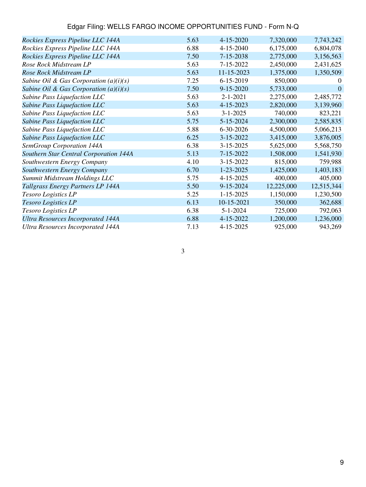| Edgar Filing: WELLS FARGO INCOME OPPORTUNITIES FUND - Form N-Q |
|----------------------------------------------------------------|
|----------------------------------------------------------------|

| Rockies Express Pipeline LLC 144A        | 5.63 | $4 - 15 - 2020$ | 7,320,000  | 7,743,242  |
|------------------------------------------|------|-----------------|------------|------------|
| Rockies Express Pipeline LLC 144A        | 6.88 | 4-15-2040       | 6,175,000  | 6,804,078  |
| Rockies Express Pipeline LLC 144A        | 7.50 | 7-15-2038       | 2,775,000  | 3,156,563  |
| Rose Rock Midstream LP                   | 5.63 | 7-15-2022       | 2,450,000  | 2,431,625  |
| Rose Rock Midstream LP                   | 5.63 | 11-15-2023      | 1,375,000  | 1,350,509  |
| Sabine Oil & Gas Corporation $(a)(i)(s)$ | 7.25 | 6-15-2019       | 850,000    | 0          |
| Sabine Oil & Gas Corporation $(a)(i)(s)$ | 7.50 | $9 - 15 - 2020$ | 5,733,000  | $\Omega$   |
| Sabine Pass Liquefaction LLC             | 5.63 | $2 - 1 - 2021$  | 2,275,000  | 2,485,772  |
| Sabine Pass Liquefaction LLC             | 5.63 | 4-15-2023       | 2,820,000  | 3,139,960  |
| Sabine Pass Liquefaction LLC             | 5.63 | $3 - 1 - 2025$  | 740,000    | 823,221    |
| Sabine Pass Liquefaction LLC             | 5.75 | 5-15-2024       | 2,300,000  | 2,585,835  |
| Sabine Pass Liquefaction LLC             | 5.88 | 6-30-2026       | 4,500,000  | 5,066,213  |
| Sabine Pass Liquefaction LLC             | 6.25 | $3 - 15 - 2022$ | 3,415,000  | 3,876,005  |
| SemGroup Corporation 144A                | 6.38 | $3 - 15 - 2025$ | 5,625,000  | 5,568,750  |
| Southern Star Central Corporation 144A   | 5.13 | $7 - 15 - 2022$ | 1,508,000  | 1,541,930  |
| Southwestern Energy Company              | 4.10 | 3-15-2022       | 815,000    | 759,988    |
| Southwestern Energy Company              | 6.70 | 1-23-2025       | 1,425,000  | 1,403,183  |
| Summit Midstream Holdings LLC            | 5.75 | 4-15-2025       | 400,000    | 405,000    |
| Tallgrass Energy Partners LP 144A        | 5.50 | $9 - 15 - 2024$ | 12,225,000 | 12,515,344 |
| Tesoro Logistics LP                      | 5.25 | $1 - 15 - 2025$ | 1,150,000  | 1,230,500  |
| Tesoro Logistics LP                      | 6.13 | 10-15-2021      | 350,000    | 362,688    |
| Tesoro Logistics LP                      | 6.38 | $5 - 1 - 2024$  | 725,000    | 792,063    |
| <b>Ultra Resources Incorporated 144A</b> | 6.88 | 4-15-2022       | 1,200,000  | 1,236,000  |
| <b>Ultra Resources Incorporated 144A</b> | 7.13 | 4-15-2025       | 925,000    | 943,269    |
|                                          |      |                 |            |            |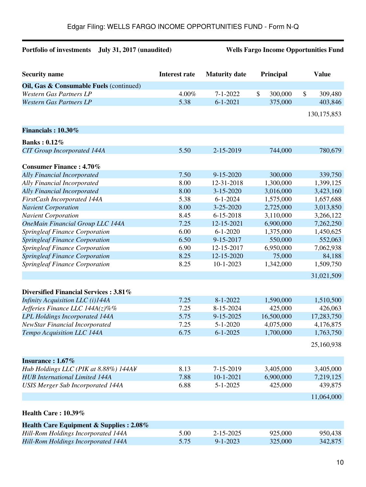# **Portfolio of investments July 31, 2017 (unaudited) Wells Fargo Income Opportunities Fund**

| <b>Security name</b>                     | <b>Interest rate</b> | <b>Maturity</b> date | Principal     | <b>Value</b>             |
|------------------------------------------|----------------------|----------------------|---------------|--------------------------|
| Oil, Gas & Consumable Fuels (continued)  |                      |                      |               |                          |
| <b>Western Gas Partners LP</b>           | 4.00%                | $7 - 1 - 2022$       | \$<br>300,000 | $\mathcal{S}$<br>309,480 |
| <b>Western Gas Partners LP</b>           | 5.38                 | $6 - 1 - 2021$       | 375,000       | 403,846                  |
|                                          |                      |                      |               | 130, 175, 853            |
|                                          |                      |                      |               |                          |
| Financials: 10.30%                       |                      |                      |               |                          |
| <b>Banks: 0.12%</b>                      |                      |                      |               |                          |
| <b>CIT Group Incorporated 144A</b>       | 5.50                 | 2-15-2019            | 744,000       | 780,679                  |
|                                          |                      |                      |               |                          |
| <b>Consumer Finance: 4.70%</b>           |                      |                      |               |                          |
| <b>Ally Financial Incorporated</b>       | 7.50                 | 9-15-2020            | 300,000       | 339,750                  |
| Ally Financial Incorporated              | 8.00                 | 12-31-2018           | 1,300,000     | 1,399,125                |
| <b>Ally Financial Incorporated</b>       | 8.00                 | $3 - 15 - 2020$      | 3,016,000     | 3,423,160                |
| FirstCash Incorporated 144A              | 5.38                 | $6 - 1 - 2024$       | 1,575,000     | 1,657,688                |
| <b>Navient Corporation</b>               | 8.00                 | 3-25-2020            | 2,725,000     | 3,013,850                |
| <b>Navient Corporation</b>               | 8.45                 | $6 - 15 - 2018$      | 3,110,000     | 3,266,122                |
| <b>OneMain Financial Group LLC 144A</b>  | 7.25                 | 12-15-2021           | 6,900,000     | 7,262,250                |
| <b>Springleaf Finance Corporation</b>    | 6.00                 | $6 - 1 - 2020$       | 1,375,000     | 1,450,625                |
| <b>Springleaf Finance Corporation</b>    | 6.50                 | 9-15-2017            | 550,000       | 552,063                  |
| <b>Springleaf Finance Corporation</b>    | 6.90                 | 12-15-2017           | 6,950,000     | 7,062,938                |
| <b>Springleaf Finance Corporation</b>    | 8.25                 | 12-15-2020           | 75,000        | 84,188                   |
| <b>Springleaf Finance Corporation</b>    | 8.25                 | $10-1-2023$          | 1,342,000     | 1,509,750                |
|                                          |                      |                      |               | 31,021,509               |
|                                          |                      |                      |               |                          |
| Diversified Financial Services: 3.81%    |                      |                      |               |                          |
| Infinity Acquisition LLC (i)144A         | 7.25                 | $8 - 1 - 2022$       | 1,590,000     | 1,510,500                |
| Jefferies Finance LLC $144A(z)\%$ %      | 7.25                 | 8-15-2024            | 425,000       | 426,063                  |
| <b>LPL Holdings Incorporated 144A</b>    | 5.75                 | 9-15-2025            | 16,500,000    | 17,283,750               |
| <b>NewStar Financial Incorporated</b>    | 7.25                 | $5 - 1 - 2020$       | 4,075,000     | 4,176,875                |
| Tempo Acquisition LLC 144A               | 6.75                 | $6 - 1 - 2025$       | 1,700,000     | 1,763,750                |
|                                          |                      |                      |               | 25,160,938               |
| Insurance: 1.67%                         |                      |                      |               |                          |
| Hub Holdings LLC (PIK at 8.88%) 144A¥    | 8.13                 | 7-15-2019            | 3,405,000     | 3,405,000                |
| <b>HUB</b> International Limited 144A    | 7.88                 | $10 - 1 - 2021$      | 6,900,000     | 7,219,125                |
| <b>USIS Merger Sub Incorporated 144A</b> | 6.88                 | $5 - 1 - 2025$       | 425,000       | 439,875                  |
|                                          |                      |                      |               | 11,064,000               |
|                                          |                      |                      |               |                          |
| Health Care: 10.39%                      |                      |                      |               |                          |
| Health Care Equipment & Supplies : 2.08% |                      |                      |               |                          |
| Hill-Rom Holdings Incorporated 144A      | 5.00                 | 2-15-2025            | 925,000       | 950,438                  |
| Hill-Rom Holdings Incorporated 144A      | 5.75                 | $9 - 1 - 2023$       | 325,000       | 342,875                  |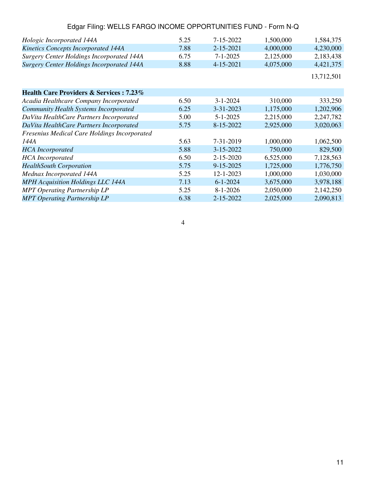| Edgar Filing: WELLS FARGO INCOME OPPORTUNITIES FUND - Form N-Q |      |                 |           |            |
|----------------------------------------------------------------|------|-----------------|-----------|------------|
| Hologic Incorporated 144A                                      | 5.25 | 7-15-2022       | 1,500,000 | 1,584,375  |
| <b>Kinetics Concepts Incorporated 144A</b>                     | 7.88 | 2-15-2021       | 4,000,000 | 4,230,000  |
| <b>Surgery Center Holdings Incorporated 144A</b>               | 6.75 | $7 - 1 - 2025$  | 2,125,000 | 2,183,438  |
| <b>Surgery Center Holdings Incorporated 144A</b>               | 8.88 | 4-15-2021       | 4,075,000 | 4,421,375  |
|                                                                |      |                 |           | 13,712,501 |
| <b>Health Care Providers &amp; Services: 7.23%</b>             |      |                 |           |            |
| Acadia Healthcare Company Incorporated                         | 6.50 | $3 - 1 - 2024$  | 310,000   | 333,250    |
| <b>Community Health Systems Incorporated</b>                   | 6.25 | $3 - 31 - 2023$ | 1,175,000 | 1,202,906  |
| DaVita HealthCare Partners Incorporated                        | 5.00 | $5 - 1 - 2025$  | 2,215,000 | 2,247,782  |
| DaVita HealthCare Partners Incorporated                        | 5.75 | 8-15-2022       | 2,925,000 | 3,020,063  |
| Fresenius Medical Care Holdings Incorporated                   |      |                 |           |            |
| 144A                                                           | 5.63 | 7-31-2019       | 1,000,000 | 1,062,500  |
| <b>HCA</b> Incorporated                                        | 5.88 | 3-15-2022       | 750,000   | 829,500    |
| <b>HCA</b> Incorporated                                        | 6.50 | $2 - 15 - 2020$ | 6,525,000 | 7,128,563  |
| <b>HealthSouth Corporation</b>                                 | 5.75 | 9-15-2025       | 1,725,000 | 1,776,750  |
| Mednax Incorporated 144A                                       | 5.25 | 12-1-2023       | 1,000,000 | 1,030,000  |
| <b>MPH</b> Acquisition Holdings LLC 144A                       | 7.13 | $6 - 1 - 2024$  | 3,675,000 | 3,978,188  |
| <b>MPT Operating Partnership LP</b>                            | 5.25 | $8 - 1 - 2026$  | 2,050,000 | 2,142,250  |
| <b>MPT Operating Partnership LP</b>                            | 6.38 | 2-15-2022       | 2,025,000 | 2,090,813  |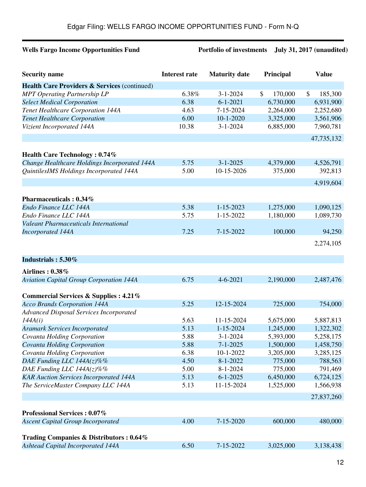# **Wells Fargo Income Opportunities Fund Portfolio of investments July 31, 2017 (unaudited)**

| <b>Security name</b>                                    | <b>Interest rate</b> | <b>Maturity date</b> | Principal     | <b>Value</b>  |
|---------------------------------------------------------|----------------------|----------------------|---------------|---------------|
| <b>Health Care Providers &amp; Services (continued)</b> |                      |                      |               |               |
| <b>MPT Operating Partnership LP</b>                     | 6.38%                | $3 - 1 - 2024$       | \$<br>170,000 | \$<br>185,300 |
| <b>Select Medical Corporation</b>                       | 6.38                 | $6 - 1 - 2021$       | 6,730,000     | 6,931,900     |
| Tenet Healthcare Corporation 144A                       | 4.63                 | 7-15-2024            | 2,264,000     | 2,252,680     |
| <b>Tenet Healthcare Corporation</b>                     | 6.00                 | $10-1-2020$          | 3,325,000     | 3,561,906     |
| Vizient Incorporated 144A                               | 10.38                | $3 - 1 - 2024$       | 6,885,000     | 7,960,781     |
|                                                         |                      |                      |               | 47,735,132    |
| <b>Health Care Technology: 0.74%</b>                    |                      |                      |               |               |
| Change Healthcare Holdings Incorporated 144A            | 5.75                 | $3 - 1 - 2025$       | 4,379,000     | 4,526,791     |
| QuintilesIMS Holdings Incorporated 144A                 | 5.00                 | 10-15-2026           | 375,000       | 392,813       |
|                                                         |                      |                      |               | 4,919,604     |
| Pharmaceuticals: 0.34%                                  |                      |                      |               |               |
| Endo Finance LLC 144A                                   | 5.38                 | $1 - 15 - 2023$      | 1,275,000     | 1,090,125     |
| Endo Finance LLC 144A                                   | 5.75                 | 1-15-2022            | 1,180,000     | 1,089,730     |
| <b>Valeant Pharmaceuticals International</b>            |                      |                      |               |               |
| <b>Incorporated 144A</b>                                | 7.25                 | 7-15-2022            | 100,000       | 94,250        |
|                                                         |                      |                      |               | 2,274,105     |
|                                                         |                      |                      |               |               |
| Industrials: 5.30%                                      |                      |                      |               |               |
| <b>Airlines: 0.38%</b>                                  |                      |                      |               |               |
| <b>Aviation Capital Group Corporation 144A</b>          | 6.75                 | $4 - 6 - 2021$       | 2,190,000     | 2,487,476     |
| Commercial Services & Supplies : 4.21%                  |                      |                      |               |               |
| <b>Acco Brands Corporation 144A</b>                     | 5.25                 | 12-15-2024           | 725,000       | 754,000       |
| <b>Advanced Disposal Services Incorporated</b>          |                      |                      |               |               |
| 144A(i)                                                 | 5.63                 | 11-15-2024           | 5,675,000     | 5,887,813     |
| <b>Aramark Services Incorporated</b>                    | 5.13                 | $1 - 15 - 2024$      | 1,245,000     | 1,322,302     |
| Covanta Holding Corporation                             | 5.88                 | $3 - 1 - 2024$       | 5,393,000     | 5,258,175     |
| Covanta Holding Corporation                             | 5.88                 | $7 - 1 - 2025$       | 1,500,000     | 1,458,750     |
| Covanta Holding Corporation                             | 6.38                 | 10-1-2022            | 3,205,000     | 3,285,125     |
| DAE Funding LLC $144A(z)\%$ %                           | 4.50                 | $8 - 1 - 2022$       | 775,000       | 788,563       |
| DAE Funding LLC 144A(z)%%                               | 5.00                 | $8 - 1 - 2024$       | 775,000       | 791,469       |
| <b>KAR Auction Services Incorporated 144A</b>           | 5.13                 | $6 - 1 - 2025$       | 6,450,000     | 6,724,125     |
| The ServiceMaster Company LLC 144A                      | 5.13                 | 11-15-2024           | 1,525,000     | 1,566,938     |
|                                                         |                      |                      |               | 27,837,260    |
| <b>Professional Services : 0.07%</b>                    |                      |                      |               |               |
| <b>Ascent Capital Group Incorporated</b>                | 4.00                 | 7-15-2020            | 600,000       | 480,000       |
|                                                         |                      |                      |               |               |
| Trading Companies & Distributors: 0.64%                 |                      |                      |               |               |
| <b>Ashtead Capital Incorporated 144A</b>                | 6.50                 | 7-15-2022            | 3,025,000     | 3,138,438     |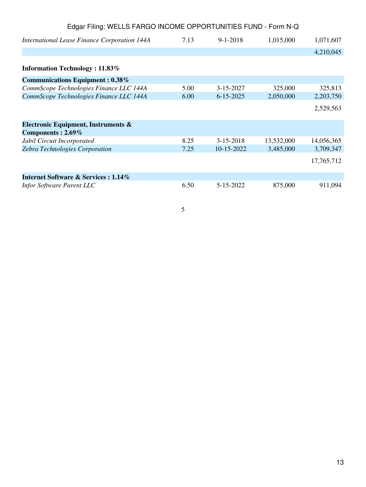| Edgar Filing: WELLS FARGO INCOME OPPORTUNITIES FUND - Form N-Q |      |                 |            |            |
|----------------------------------------------------------------|------|-----------------|------------|------------|
| <b>International Lease Finance Corporation 144A</b>            | 7.13 | $9 - 1 - 2018$  | 1,015,000  | 1,071,607  |
|                                                                |      |                 |            | 4,210,045  |
| <b>Information Technology: 11.83%</b>                          |      |                 |            |            |
| <b>Communications Equipment: 0.38%</b>                         |      |                 |            |            |
| CommScope Technologies Finance LLC 144A                        | 5.00 | $3 - 15 - 2027$ | 325,000    | 325,813    |
| CommScope Technologies Finance LLC 144A                        | 6.00 | $6 - 15 - 2025$ | 2,050,000  | 2,203,750  |
|                                                                |      |                 |            | 2,529,563  |
| Electronic Equipment, Instruments &                            |      |                 |            |            |
| Components: 2.69%                                              |      |                 |            |            |
| Jabil Circuit Incorporated                                     | 8.25 | $3-15-2018$     | 13,532,000 | 14,056,365 |
| <b>Zebra Technologies Corporation</b>                          | 7.25 | 10-15-2022      | 3,485,000  | 3,709,347  |
|                                                                |      |                 |            | 17,765,712 |
| Internet Software & Services : 1.14%                           |      |                 |            |            |
| Infor Software Parent LLC                                      | 6.50 | 5-15-2022       | 875,000    | 911,094    |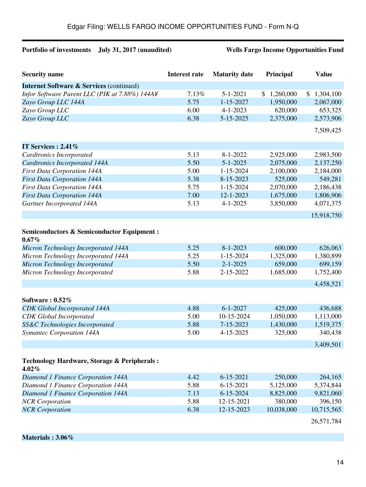# **Portfolio of investments July 31, 2017 (unaudited) Wells Fargo Income Opportunities Fund**

| <b>Security name</b>                                               | <b>Interest rate</b> | <b>Maturity date</b> | Principal   | <b>Value</b>    |
|--------------------------------------------------------------------|----------------------|----------------------|-------------|-----------------|
| <b>Internet Software &amp; Services (continued)</b>                |                      |                      |             |                 |
| Infor Software Parent LLC (PIK at 7.88%) 144A¥                     | 7.13%                | $5 - 1 - 2021$       | \$1,260,000 | 1,304,100<br>\$ |
| Zayo Group LLC 144A                                                | 5.75                 | $1 - 15 - 2027$      | 1,950,000   | 2,067,000       |
| Zayo Group LLC                                                     | 6.00                 | $4 - 1 - 2023$       | 620,000     | 653,325         |
| Zayo Group LLC                                                     | 6.38                 | 5-15-2025            | 2,375,000   | 2,573,906       |
|                                                                    |                      |                      |             | 7,509,425       |
| IT Services : $2.41\%$                                             |                      |                      |             |                 |
| <b>Cardtronics Incorporated</b>                                    | 5.13                 | $8 - 1 - 2022$       | 2,925,000   | 2,983,500       |
| <b>Cardtronics Incorporated 144A</b>                               | 5.50                 | $5 - 1 - 2025$       | 2,075,000   | 2,137,250       |
| <b>First Data Corporation 144A</b>                                 | 5.00                 | 1-15-2024            | 2,100,000   | 2,184,000       |
| <b>First Data Corporation 144A</b>                                 | 5.38                 | 8-15-2023            | 525,000     | 549,281         |
| <b>First Data Corporation 144A</b>                                 | 5.75                 | 1-15-2024            | 2,070,000   | 2,186,438       |
| <b>First Data Corporation 144A</b>                                 | 7.00                 | 12-1-2023            | 1,675,000   | 1,806,906       |
| Gartner Incorporated 144A                                          | 5.13                 | $4 - 1 - 2025$       | 3,850,000   | 4,071,375       |
|                                                                    |                      |                      |             | 15,918,750      |
|                                                                    |                      |                      |             |                 |
| <b>Semiconductors &amp; Semiconductor Equipment:</b><br>$0.67\%$   |                      |                      |             |                 |
| Micron Technology Incorporated 144A                                | 5.25                 | $8 - 1 - 2023$       | 600,000     | 626,063         |
| Micron Technology Incorporated 144A                                | 5.25                 | 1-15-2024            | 1,325,000   | 1,380,899       |
| Micron Technology Incorporated                                     | 5.50                 | $2 - 1 - 2025$       | 659,000     | 699,159         |
| Micron Technology Incorporated                                     | 5.88                 | 2-15-2022            | 1,685,000   | 1,752,400       |
|                                                                    |                      |                      |             | 4,458,521       |
|                                                                    |                      |                      |             |                 |
| Software: $0.52\%$                                                 |                      |                      |             |                 |
| <b>CDK</b> Global Incorporated 144A                                | 4.88                 | $6 - 1 - 2027$       | 425,000     | 436,688         |
| <b>CDK</b> Global Incorporated                                     | 5.00                 | 10-15-2024           | 1,050,000   | 1,113,000       |
| SS&C Technologies Incorporated                                     | 5.88                 | 7-15-2023            | 1,430,000   | 1,519,375       |
| Symantec Corporation 144A                                          | 5.00                 | 4-15-2025            | 325,000     | 340,438         |
|                                                                    |                      |                      |             | 3,409,501       |
|                                                                    |                      |                      |             |                 |
| <b>Technology Hardware, Storage &amp; Peripherals:</b><br>$4.02\%$ |                      |                      |             |                 |
| Diamond 1 Finance Corporation 144A                                 | 4.42                 | $6 - 15 - 2021$      | 250,000     | 264,165         |
| Diamond 1 Finance Corporation 144A                                 | 5.88                 | $6 - 15 - 2021$      | 5,125,000   | 5,374,844       |
| Diamond 1 Finance Corporation 144A                                 | 7.13                 | $6 - 15 - 2024$      | 8,825,000   | 9,821,060       |
| <b>NCR</b> Corporation                                             | 5.88                 | 12-15-2021           | 380,000     | 396,150         |
| <b>NCR</b> Corporation                                             | 6.38                 | 12-15-2023           | 10,038,000  | 10,715,565      |
|                                                                    |                      |                      |             | 26,571,784      |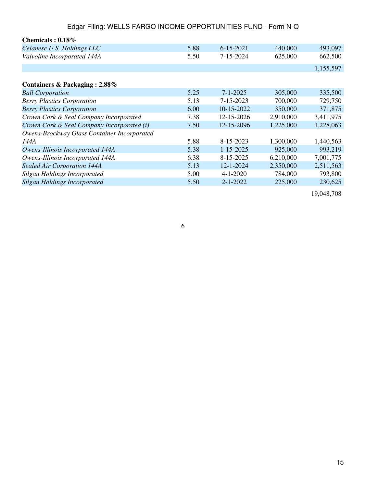| Chemicals: $0.18\%$                         |      |                 |           |           |
|---------------------------------------------|------|-----------------|-----------|-----------|
| Celanese U.S. Holdings LLC                  | 5.88 | $6 - 15 - 2021$ | 440,000   | 493,097   |
| Valvoline Incorporated 144A                 | 5.50 | 7-15-2024       | 625,000   | 662,500   |
|                                             |      |                 |           | 1,155,597 |
| Containers & Packaging: 2.88%               |      |                 |           |           |
| <b>Ball Corporation</b>                     | 5.25 | $7 - 1 - 2025$  | 305,000   | 335,500   |
| <b>Berry Plastics Corporation</b>           | 5.13 | $7 - 15 - 2023$ | 700,000   | 729,750   |
| <b>Berry Plastics Corporation</b>           | 6.00 | 10-15-2022      | 350,000   | 371,875   |
| Crown Cork & Seal Company Incorporated      | 7.38 | 12-15-2026      | 2,910,000 | 3,411,975 |
| Crown Cork & Seal Company Incorporated (i)  | 7.50 | 12-15-2096      | 1,225,000 | 1,228,063 |
| Owens-Brockway Glass Container Incorporated |      |                 |           |           |
| 144A                                        | 5.88 | 8-15-2023       | 1,300,000 | 1,440,563 |
| Owens-Illinois Incorporated 144A            | 5.38 | $1 - 15 - 2025$ | 925,000   | 993,219   |
| Owens-Illinois Incorporated 144A            | 6.38 | 8-15-2025       | 6,210,000 | 7,001,775 |
| Sealed Air Corporation 144A                 | 5.13 | 12-1-2024       | 2,350,000 | 2,511,563 |
| Silgan Holdings Incorporated                | 5.00 | $4 - 1 - 2020$  | 784,000   | 793,800   |
| <b>Silgan Holdings Incorporated</b>         | 5.50 | $2 - 1 - 2022$  | 225,000   | 230,625   |
|                                             |      |                 |           |           |

19,048,708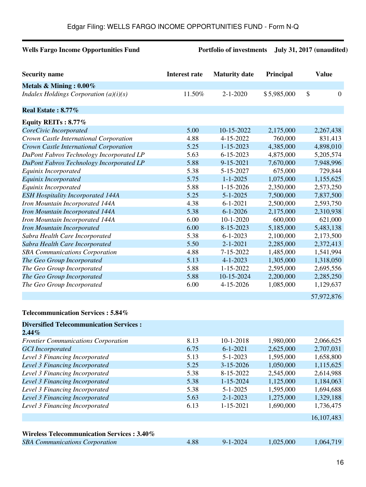## **Wells Fargo Income Opportunities Fund Portfolio of investments July 31, 2017 (unaudited)**

| <b>Security name</b>                     | Interest rate | <b>Maturity date</b> | Principal   | <b>Value</b>   |
|------------------------------------------|---------------|----------------------|-------------|----------------|
| Metals & Mining: $0.00\%$                |               |                      |             |                |
| Indalex Holdings Corporation $(a)(i)(s)$ | 11.50%        | $2 - 1 - 2020$       | \$5,985,000 | \$<br>$\theta$ |
| Real Estate: 8.77%                       |               |                      |             |                |
| Equity REITs: 8.77%                      |               |                      |             |                |
| CoreCivic Incorporated                   | 5.00          | 10-15-2022           | 2,175,000   | 2,267,438      |
| Crown Castle International Corporation   | 4.88          | 4-15-2022            | 760,000     | 831,413        |
| Crown Castle International Corporation   | 5.25          | $1 - 15 - 2023$      | 4,385,000   | 4,898,010      |
| DuPont Fabros Technology Incorporated LP | 5.63          | $6 - 15 - 2023$      | 4,875,000   | 5,205,574      |
| DuPont Fabros Technology Incorporated LP | 5.88          | 9-15-2021            | 7,670,000   | 7,948,996      |
| Equinix Incorporated                     | 5.38          | 5-15-2027            | 675,000     | 729,844        |
| Equinix Incorporated                     | 5.75          | $1 - 1 - 2025$       | 1,075,000   | 1,155,625      |
| Equinix Incorporated                     | 5.88          | $1 - 15 - 2026$      | 2,350,000   | 2,573,250      |
| <b>ESH Hospitality Incorporated 144A</b> | 5.25          | $5 - 1 - 2025$       | 7,500,000   | 7,837,500      |
| Iron Mountain Incorporated 144A          | 4.38          | $6 - 1 - 2021$       | 2,500,000   | 2,593,750      |
| Iron Mountain Incorporated 144A          | 5.38          | $6 - 1 - 2026$       | 2,175,000   | 2,310,938      |
| Iron Mountain Incorporated 144A          | 6.00          | $10 - 1 - 2020$      | 600,000     | 621,000        |
| <b>Iron Mountain Incorporated</b>        | 6.00          | 8-15-2023            | 5,185,000   | 5,483,138      |
| Sabra Health Care Incorporated           | 5.38          | $6 - 1 - 2023$       | 2,100,000   | 2,173,500      |
| Sabra Health Care Incorporated           | 5.50          | $2 - 1 - 2021$       | 2,285,000   | 2,372,413      |
| <b>SBA Communications Corporation</b>    | 4.88          | 7-15-2022            | 1,485,000   | 1,541,994      |
| The Geo Group Incorporated               | 5.13          | $4 - 1 - 2023$       | 1,305,000   | 1,318,050      |
| The Geo Group Incorporated               | 5.88          | $1 - 15 - 2022$      | 2,595,000   | 2,695,556      |
| The Geo Group Incorporated               | 5.88          | 10-15-2024           | 2,200,000   | 2,285,250      |
| The Geo Group Incorporated               | 6.00          | 4-15-2026            | 1,085,000   | 1,129,637      |
|                                          |               |                      |             | 57,972,876     |

### **Telecommunication Services : 5.84%**

| <b>Diversified Telecommunication Services:</b> |      |                 |           |            |
|------------------------------------------------|------|-----------------|-----------|------------|
| $2.44\%$                                       |      |                 |           |            |
| <b>Frontier Communications Corporation</b>     | 8.13 | $10 - 1 - 2018$ | 1,980,000 | 2,066,625  |
| <b>GCI</b> Incorporated                        | 6.75 | $6 - 1 - 2021$  | 2,625,000 | 2,707,031  |
| Level 3 Financing Incorporated                 | 5.13 | $5 - 1 - 2023$  | 1,595,000 | 1,658,800  |
| Level 3 Financing Incorporated                 | 5.25 | $3 - 15 - 2026$ | 1,050,000 | 1,115,625  |
| Level 3 Financing Incorporated                 | 5.38 | 8-15-2022       | 2,545,000 | 2,614,988  |
| Level 3 Financing Incorporated                 | 5.38 | $1 - 15 - 2024$ | 1,125,000 | 1,184,063  |
| Level 3 Financing Incorporated                 | 5.38 | $5 - 1 - 2025$  | 1,595,000 | 1,694,688  |
| Level 3 Financing Incorporated                 | 5.63 | $2 - 1 - 2023$  | 1,275,000 | 1,329,188  |
| Level 3 Financing Incorporated                 | 6.13 | $1 - 15 - 2021$ | 1,690,000 | 1,736,475  |
|                                                |      |                 |           | 16,107,483 |
|                                                |      |                 |           |            |
| Wireless Telecommunication Services: 3.40%     |      |                 |           |            |
| <b>SBA Communications Corporation</b>          | 4.88 | $9 - 1 - 2024$  | 1,025,000 | 1,064,719  |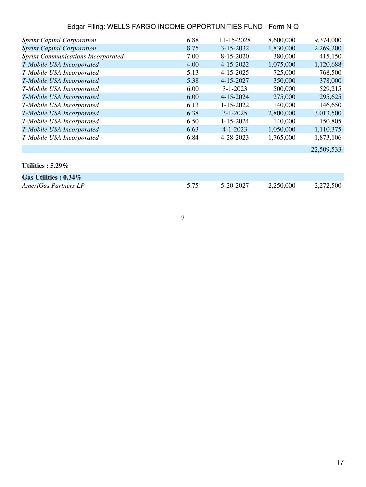| <b>Sprint Capital Corporation</b>         | 6.88 | 11-15-2028      | 8,600,000 | 9,374,000  |
|-------------------------------------------|------|-----------------|-----------|------------|
| <b>Sprint Capital Corporation</b>         | 8.75 | $3 - 15 - 2032$ | 1,830,000 | 2,269,200  |
| <b>Sprint Communications Incorporated</b> | 7.00 | 8-15-2020       | 380,000   | 415,150    |
| T-Mobile USA Incorporated                 | 4.00 | 4-15-2022       | 1,075,000 | 1,120,688  |
| T-Mobile USA Incorporated                 | 5.13 | $4 - 15 - 2025$ | 725,000   | 768,500    |
| T-Mobile USA Incorporated                 | 5.38 | 4-15-2027       | 350,000   | 378,000    |
| T-Mobile USA Incorporated                 | 6.00 | $3 - 1 - 2023$  | 500,000   | 529,215    |
| T-Mobile USA Incorporated                 | 6.00 | $4 - 15 - 2024$ | 275,000   | 295,625    |
| T-Mobile USA Incorporated                 | 6.13 | $1 - 15 - 2022$ | 140,000   | 146,650    |
| T-Mobile USA Incorporated                 | 6.38 | $3 - 1 - 2025$  | 2,800,000 | 3,013,500  |
| T-Mobile USA Incorporated                 | 6.50 | $1 - 15 - 2024$ | 140,000   | 150,805    |
| T-Mobile USA Incorporated                 | 6.63 | $4 - 1 - 2023$  | 1,050,000 | 1,110,375  |
| T-Mobile USA Incorporated                 | 6.84 | 4-28-2023       | 1,765,000 | 1,873,106  |
|                                           |      |                 |           | 22,509,533 |

# **Utilities : 5.29%**

| Gas Utilities : $0.34\%$ |      |           |           |           |
|--------------------------|------|-----------|-----------|-----------|
| AmeriGas Partners LP     | 5.75 | 5-20-2027 | 2,250,000 | 2,272,500 |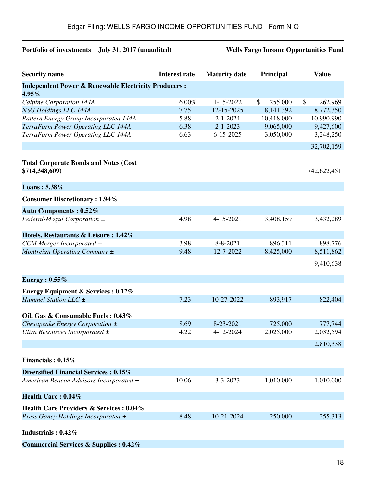# **Portfolio of investments July 31, 2017 (unaudited) Wells Fargo Income Opportunities Fund**

| <b>Security name</b>                                                        | <b>Interest rate</b> | <b>Maturity date</b> | Principal     | <b>Value</b>  |
|-----------------------------------------------------------------------------|----------------------|----------------------|---------------|---------------|
| <b>Independent Power &amp; Renewable Electricity Producers:</b><br>$4.95\%$ |                      |                      |               |               |
| Calpine Corporation 144A                                                    | 6.00%                | 1-15-2022            | 255,000<br>\$ | \$<br>262,969 |
| NSG Holdings LLC 144A                                                       | 7.75                 | 12-15-2025           | 8,141,392     | 8,772,350     |
| Pattern Energy Group Incorporated 144A                                      | 5.88                 | $2 - 1 - 2024$       | 10,418,000    | 10,990,990    |
| TerraForm Power Operating LLC 144A                                          | 6.38                 | $2 - 1 - 2023$       | 9,065,000     | 9,427,600     |
| TerraForm Power Operating LLC 144A                                          | 6.63                 | $6 - 15 - 2025$      | 3,050,000     | 3,248,250     |
|                                                                             |                      |                      |               | 32,702,159    |
| <b>Total Corporate Bonds and Notes (Cost</b><br>\$714,348,609)              |                      |                      |               | 742,622,451   |
| Loans: 5.38%                                                                |                      |                      |               |               |
| <b>Consumer Discretionary: 1.94%</b>                                        |                      |                      |               |               |
| <b>Auto Components: 0.52%</b>                                               |                      |                      |               |               |
| Federal-Mogul Corporation $\pm$                                             | 4.98                 | 4-15-2021            | 3,408,159     | 3,432,289     |
| Hotels, Restaurants & Leisure: 1.42%                                        |                      |                      |               |               |
| CCM Merger Incorporated $\pm$                                               | 3.98                 | 8-8-2021             | 896,311       | 898,776       |
| Montreign Operating Company $\pm$                                           | 9.48                 | 12-7-2022            | 8,425,000     | 8,511,862     |
|                                                                             |                      |                      |               | 9,410,638     |
| Energy : $0.55\%$                                                           |                      |                      |               |               |
| <b>Energy Equipment &amp; Services : 0.12%</b>                              |                      |                      |               |               |
| Hummel Station LLC ±                                                        | 7.23                 | 10-27-2022           | 893,917       | 822,404       |
| Oil, Gas & Consumable Fuels: 0.43%                                          |                      |                      |               |               |
| Chesapeake Energy Corporation $\pm$                                         | 8.69                 | 8-23-2021            | 725,000       | 777,744       |
| Ultra Resources Incorporated $\pm$                                          | 4.22                 | 4-12-2024            | 2,025,000     | 2,032,594     |
|                                                                             |                      |                      |               | 2,810,338     |
| Financials: $0.15\%$                                                        |                      |                      |               |               |
| Diversified Financial Services: 0.15%                                       |                      |                      |               |               |
| American Beacon Advisors Incorporated ±                                     | 10.06                | $3 - 3 - 2023$       | 1,010,000     | 1,010,000     |
| Health Care: 0.04%                                                          |                      |                      |               |               |
| <b>Health Care Providers &amp; Services: 0.04%</b>                          |                      |                      |               |               |
| Press Ganey Holdings Incorporated $\pm$                                     | 8.48                 | 10-21-2024           | 250,000       | 255,313       |
| Industrials: 0.42%                                                          |                      |                      |               |               |
| <b>Commercial Services &amp; Supplies : 0.42%</b>                           |                      |                      |               |               |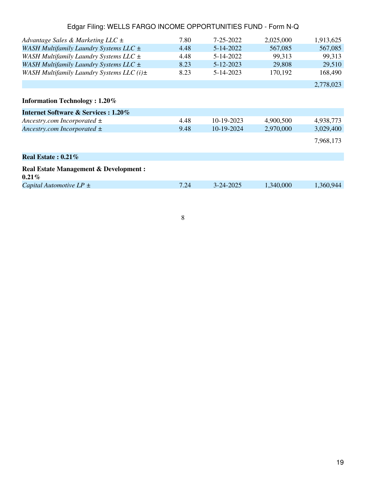| Advantage Sales & Marketing LLC $\pm$                        | 7.80 | 7-25-2022       | 2,025,000 | 1,913,625 |
|--------------------------------------------------------------|------|-----------------|-----------|-----------|
| WASH Multifamily Laundry Systems LLC $\pm$                   | 4.48 | 5-14-2022       | 567,085   | 567,085   |
| WASH Multifamily Laundry Systems LLC ±                       | 4.48 | 5-14-2022       | 99,313    | 99,313    |
| WASH Multifamily Laundry Systems LLC ±                       | 8.23 | 5-12-2023       | 29,808    | 29,510    |
| WASH Multifamily Laundry Systems LLC $(i)$ $\pm$             | 8.23 | 5-14-2023       | 170,192   | 168,490   |
|                                                              |      |                 |           | 2,778,023 |
| <b>Information Technology</b> : 1.20%                        |      |                 |           |           |
| <b>Internet Software &amp; Services : 1.20%</b>              |      |                 |           |           |
| Ancestry.com Incorporated $\pm$                              | 4.48 | $10-19-2023$    | 4,900,500 | 4,938,773 |
| Ancestry.com Incorporated $\pm$                              | 9.48 | 10-19-2024      | 2,970,000 | 3,029,400 |
|                                                              |      |                 |           | 7,968,173 |
| Real Estate: $0.21\%$                                        |      |                 |           |           |
| <b>Real Estate Management &amp; Development:</b><br>$0.21\%$ |      |                 |           |           |
| Capital Automotive $LP \pm$                                  | 7.24 | $3 - 24 - 2025$ | 1,340,000 | 1.360.944 |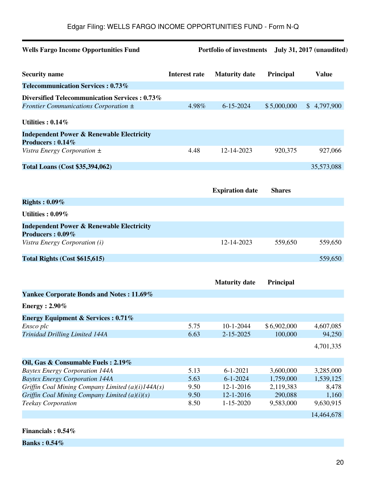| <b>Wells Fargo Income Opportunities Fund</b>                             | <b>Portfolio of investments</b><br><b>July 31, 2017 (unaudited)</b> |                        |               |              |
|--------------------------------------------------------------------------|---------------------------------------------------------------------|------------------------|---------------|--------------|
| <b>Security name</b>                                                     | <b>Interest rate</b>                                                | <b>Maturity date</b>   | Principal     | <b>Value</b> |
| <b>Telecommunication Services: 0.73%</b>                                 |                                                                     |                        |               |              |
| Diversified Telecommunication Services : 0.73%                           |                                                                     |                        |               |              |
| Frontier Communications Corporation $\pm$                                | 4.98%                                                               | $6 - 15 - 2024$        | \$5,000,000   | \$4,797,900  |
| Utilities: $0.14\%$                                                      |                                                                     |                        |               |              |
| <b>Independent Power &amp; Renewable Electricity</b><br>Producers: 0.14% |                                                                     |                        |               |              |
| Vistra Energy Corporation $\pm$                                          | 4.48                                                                | 12-14-2023             | 920,375       | 927,066      |
| <b>Total Loans (Cost \$35,394,062)</b>                                   |                                                                     |                        |               | 35,573,088   |
|                                                                          |                                                                     | <b>Expiration date</b> | <b>Shares</b> |              |
| Rights: $0.09\%$                                                         |                                                                     |                        |               |              |
| Utilities: $0.09\%$                                                      |                                                                     |                        |               |              |
| <b>Independent Power &amp; Renewable Electricity</b><br>Producers: 0.09% |                                                                     |                        |               |              |
| Vistra Energy Corporation (i)                                            |                                                                     | 12-14-2023             | 559,650       | 559,650      |
| Total Rights (Cost \$615,615)                                            |                                                                     |                        |               | 559,650      |
|                                                                          |                                                                     |                        |               |              |
|                                                                          |                                                                     | <b>Maturity date</b>   | Principal     |              |
| <b>Yankee Corporate Bonds and Notes: 11.69%</b>                          |                                                                     |                        |               |              |
| <b>Energy</b> : 2.90%                                                    |                                                                     |                        |               |              |
| <b>Energy Equipment &amp; Services : 0.71%</b>                           |                                                                     |                        |               |              |
| Ensco plc                                                                | 5.75                                                                | $10 - 1 - 2044$        | \$6,902,000   | 4,607,085    |
| Trinidad Drilling Limited 144A                                           | 6.63                                                                | 2-15-2025              | 100,000       | 94,250       |
|                                                                          |                                                                     |                        |               | 4,701,335    |
| Oil, Gas & Consumable Fuels: 2.19%                                       |                                                                     |                        |               |              |
| <b>Baytex Energy Corporation 144A</b>                                    | 5.13                                                                | $6 - 1 - 2021$         | 3,600,000     | 3,285,000    |
| <b>Baytex Energy Corporation 144A</b>                                    | 5.63                                                                | $6 - 1 - 2024$         | 1,759,000     | 1,539,125    |
| Griffin Coal Mining Company Limited $(a)(i)144A(s)$                      | 9.50                                                                | 12-1-2016              | 2,119,383     | 8,478        |
| Griffin Coal Mining Company Limited (a)(i)(s)                            | 9.50                                                                | $12 - 1 - 2016$        | 290,088       | 1,160        |
| <b>Teekay Corporation</b>                                                | 8.50                                                                | $1 - 15 - 2020$        | 9,583,000     | 9,630,915    |
|                                                                          |                                                                     |                        |               | 14,464,678   |

**Financials : 0.54%**

**Banks : 0.54%**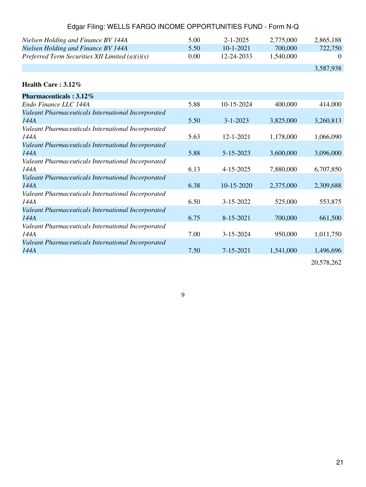| Preferred Term Securities XII Limited $(a)(i)(s)$          | 0.00 | 12-24-2033      | 1,540,000 | $\Omega$  |
|------------------------------------------------------------|------|-----------------|-----------|-----------|
|                                                            |      |                 |           | 3,587,938 |
| Health Care: 3.12%                                         |      |                 |           |           |
| Pharmaceuticals: 3.12%                                     |      |                 |           |           |
| Endo Finance LLC 144A                                      | 5.88 | 10-15-2024      | 400,000   | 414,000   |
| Valeant Pharmaceuticals International Incorporated<br>144A | 5.50 | $3 - 1 - 2023$  | 3,825,000 | 3,260,813 |
| Valeant Pharmaceuticals International Incorporated<br>144A | 5.63 | 12-1-2021       | 1,178,000 | 1,066,090 |
| Valeant Pharmaceuticals International Incorporated<br>144A | 5.88 | 5-15-2023       | 3,600,000 | 3,096,000 |
| Valeant Pharmaceuticals International Incorporated<br>144A | 6.13 | 4-15-2025       | 7,880,000 | 6,707,850 |
| Valeant Pharmaceuticals International Incorporated<br>144A | 6.38 | 10-15-2020      | 2,375,000 | 2,309,688 |
| Valeant Pharmaceuticals International Incorporated<br>144A | 6.50 | 3-15-2022       | 525,000   | 553,875   |
| Valeant Pharmaceuticals International Incorporated<br>144A | 6.75 | 8-15-2021       | 700,000   | 661,500   |
| Valeant Pharmaceuticals International Incorporated<br>144A | 7.00 | $3 - 15 - 2024$ | 950,000   | 1,011,750 |
| Valeant Pharmaceuticals International Incorporated<br>144A | 7.50 | 7-15-2021       | 1,541,000 | 1,496,696 |
|                                                            |      |                 |           |           |

*Nielsen Holding and Finance BV 144A* 5.00 2-1-2025 2,775,000 2,865,188<br>*Nielsen Holding and Finance BV 144A* 5.50 10-1-2021 700,000 722,750

**Nielsen Holding and Finance BV 144A** 

20,578,262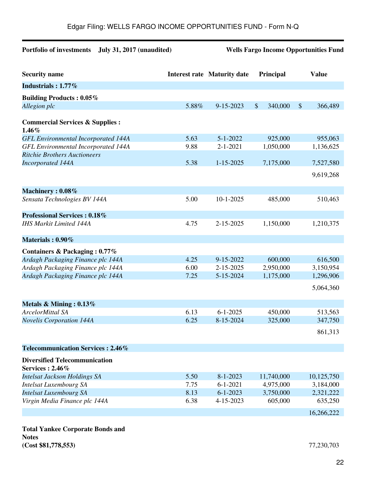# **Portfolio of investments July 31, 2017 (unaudited) Wells Fargo Income Opportunities Fund**

| <b>Security name</b>                                                                     |       | <b>Interest rate Maturity date</b> | Principal                            |                           | <b>Value</b>         |
|------------------------------------------------------------------------------------------|-------|------------------------------------|--------------------------------------|---------------------------|----------------------|
| Industrials: 1.77%                                                                       |       |                                    |                                      |                           |                      |
| <b>Building Products: 0.05%</b>                                                          |       |                                    |                                      |                           |                      |
| Allegion plc                                                                             | 5.88% | 9-15-2023                          | $\boldsymbol{\mathsf{S}}$<br>340,000 | $\boldsymbol{\mathsf{S}}$ | 366,489              |
| <b>Commercial Services &amp; Supplies:</b>                                               |       |                                    |                                      |                           |                      |
| 1.46%                                                                                    | 5.63  | $5 - 1 - 2022$                     |                                      |                           |                      |
| <b>GFL Environmental Incorporated 144A</b><br><b>GFL Environmental Incorporated 144A</b> | 9.88  | $2 - 1 - 2021$                     | 925,000<br>1,050,000                 |                           | 955,063<br>1,136,625 |
| <b>Ritchie Brothers Auctioneers</b>                                                      |       |                                    |                                      |                           |                      |
| <b>Incorporated 144A</b>                                                                 | 5.38  | $1 - 15 - 2025$                    | 7,175,000                            |                           | 7,527,580            |
|                                                                                          |       |                                    |                                      |                           |                      |
|                                                                                          |       |                                    |                                      |                           | 9,619,268            |
| Machinery: 0.08%                                                                         |       |                                    |                                      |                           |                      |
| Sensata Technologies BV 144A                                                             | 5.00  | $10-1-2025$                        | 485,000                              |                           | 510,463              |
| <b>Professional Services: 0.18%</b>                                                      |       |                                    |                                      |                           |                      |
| <b>IHS Markit Limited 144A</b>                                                           | 4.75  | 2-15-2025                          | 1,150,000                            |                           | 1,210,375            |
| Materials: 0.90%                                                                         |       |                                    |                                      |                           |                      |
| Containers & Packaging: 0.77%                                                            |       |                                    |                                      |                           |                      |
| Ardagh Packaging Finance plc 144A                                                        | 4.25  | 9-15-2022                          | 600,000                              |                           | 616,500              |
| Ardagh Packaging Finance plc 144A                                                        | 6.00  | 2-15-2025                          | 2,950,000                            |                           | 3,150,954            |
| Ardagh Packaging Finance plc 144A                                                        | 7.25  | 5-15-2024                          | 1,175,000                            |                           | 1,296,906            |
|                                                                                          |       |                                    |                                      |                           | 5,064,360            |
| Metals & Mining: $0.13\%$                                                                |       |                                    |                                      |                           |                      |
| ArcelorMittal SA                                                                         | 6.13  | $6 - 1 - 2025$                     | 450,000                              |                           | 513,563              |
| <b>Novelis Corporation 144A</b>                                                          | 6.25  | 8-15-2024                          | 325,000                              |                           | 347,750              |
|                                                                                          |       |                                    |                                      |                           | 861,313              |
| Telecommunication Services: 2.46%                                                        |       |                                    |                                      |                           |                      |
| <b>Diversified Telecommunication</b><br><b>Services: 2.46%</b>                           |       |                                    |                                      |                           |                      |
| <b>Intelsat Jackson Holdings SA</b>                                                      | 5.50  | $8 - 1 - 2023$                     | 11,740,000                           |                           | 10,125,750           |
| <b>Intelsat Luxembourg SA</b>                                                            | 7.75  | $6 - 1 - 2021$                     | 4,975,000                            |                           | 3,184,000            |
| <b>Intelsat Luxembourg SA</b>                                                            | 8.13  | $6 - 1 - 2023$                     | 3,750,000                            |                           | 2,321,222            |
| Virgin Media Finance plc 144A                                                            | 6.38  | 4-15-2023                          | 605,000                              |                           | 635,250              |
|                                                                                          |       |                                    |                                      |                           | 16,266,222           |

**Total Yankee Corporate Bonds and Notes (Cost \$81,778,553)** 77,230,703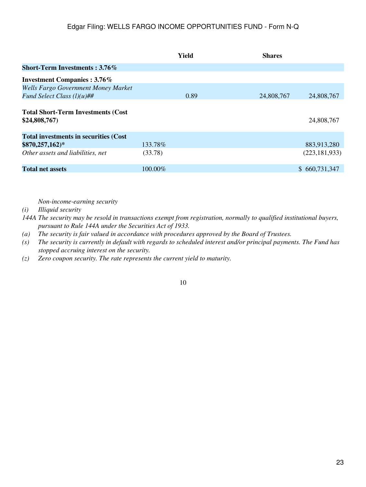|                                                           | Yield      | <b>Shares</b> |                 |
|-----------------------------------------------------------|------------|---------------|-----------------|
| <b>Short-Term Investments: 3.76%</b>                      |            |               |                 |
| <b>Investment Companies: 3.76%</b>                        |            |               |                 |
| <b>Wells Fargo Government Money Market</b>                |            |               |                 |
| Fund Select Class $(l)(u)$ ##                             | 0.89       | 24,808,767    | 24,808,767      |
| <b>Total Short-Term Investments (Cost</b><br>\$24,808,767 |            |               | 24,808,767      |
| <b>Total investments in securities (Cost</b> )            |            |               |                 |
| $$870,257,162)*$                                          | 133.78%    |               | 883,913,280     |
| Other assets and liabilities, net                         | (33.78)    |               | (223, 181, 933) |
| <b>Total net assets</b>                                   | $100.00\%$ |               | \$660,731,347   |

*Non-income-earning security*

*(i) Illiquid security*

*144A The security may be resold in transactions exempt from registration, normally to qualified institutional buyers, pursuant to Rule 144A under the Securities Act of 1933.*

*(a) The security is fair valued in accordance with procedures approved by the Board of Trustees.*

*(s) The security is currently in default with regards to scheduled interest and/or principal payments. The Fund has stopped accruing interest on the security.*

*(z) Zero coupon security. The rate represents the current yield to maturity.*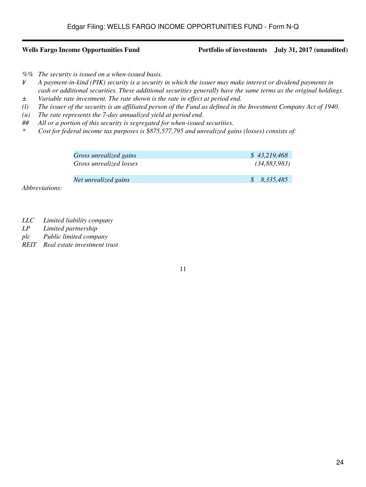### **Wells Fargo Income Opportunities Fund Portfolio of investments July 31, 2017 (unaudited)**

*%% The security is issued on a when-issued basis.*

- *¥ A payment-in-kind (PIK) security is a security in which the issuer may make interest or dividend payments in cash or additional securities. These additional securities generally have the same terms as the original holdings.*
- *± Variable rate investment. The rate shown is the rate in effect at period end.*
- *(l) The issuer of the security is an affiliated person of the Fund as defined in the Investment Company Act of 1940.*
- *(u) The rate represents the 7-day annualized yield at period end.*
- *## All or a portion of this security is segregated for when-issued securities.*
- *\* Cost for federal income tax purposes is \$875,577,795 and unrealized gains (losses) consists of:*

| Gross unrealized gains  | \$43.219.468 |
|-------------------------|--------------|
| Gross unrealized losses | (34,883,983) |
| Net unrealized gains    | \$ 8.335,485 |

*Abbreviations:*

- *LLC Limited liability company*
- *LP Limited partnership*
- *plc Public limited company*
- *REIT Real estate investment trust*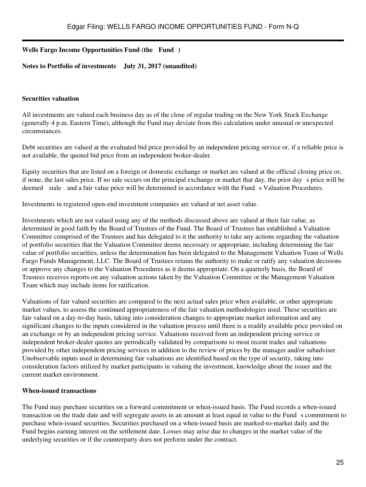## **Wells Fargo Income Opportunities Fund (the Fund)**

### **Notes to Portfolio of investments July 31, 2017 (unaudited)**

## **Securities valuation**

All investments are valued each business day as of the close of regular trading on the New York Stock Exchange (generally 4 p.m. Eastern Time), although the Fund may deviate from this calculation under unusual or unexpected circumstances.

Debt securities are valued at the evaluated bid price provided by an independent pricing service or, if a reliable price is not available, the quoted bid price from an independent broker-dealer.

Equity securities that are listed on a foreign or domestic exchange or market are valued at the official closing price or, if none, the last sales price. If no sale occurs on the principal exchange or market that day, the prior day s price will be deemed stale and a fair value price will be determined in accordance with the Fund s Valuation Procedures.

Investments in registered open-end investment companies are valued at net asset value.

Investments which are not valued using any of the methods discussed above are valued at their fair value, as determined in good faith by the Board of Trustees of the Fund. The Board of Trustees has established a Valuation Committee comprised of the Trustees and has delegated to it the authority to take any actions regarding the valuation of portfolio securities that the Valuation Committee deems necessary or appropriate, including determining the fair value of portfolio securities, unless the determination has been delegated to the Management Valuation Team of Wells Fargo Funds Management, LLC. The Board of Trustees retains the authority to make or ratify any valuation decisions or approve any changes to the Valuation Procedures as it deems appropriate. On a quarterly basis, the Board of Trustees receives reports on any valuation actions taken by the Valuation Committee or the Management Valuation Team which may include items for ratification.

Valuations of fair valued securities are compared to the next actual sales price when available, or other appropriate market values, to assess the continued appropriateness of the fair valuation methodologies used. These securities are fair valued on a day-to-day basis, taking into consideration changes to appropriate market information and any significant changes to the inputs considered in the valuation process until there is a readily available price provided on an exchange or by an independent pricing service. Valuations received from an independent pricing service or independent broker-dealer quotes are periodically validated by comparisons to most recent trades and valuations provided by other independent pricing services in addition to the review of prices by the manager and/or subadviser. Unobservable inputs used in determining fair valuations are identified based on the type of security, taking into consideration factors utilized by market participants in valuing the investment, knowledge about the issuer and the current market environment.

### **When-issued transactions**

The Fund may purchase securities on a forward commitment or when-issued basis. The Fund records a when-issued transaction on the trade date and will segregate assets in an amount at least equal in value to the Funds commitment to purchase when-issued securities. Securities purchased on a when-issued basis are marked-to-market daily and the Fund begins earning interest on the settlement date. Losses may arise due to changes in the market value of the underlying securities or if the counterparty does not perform under the contract.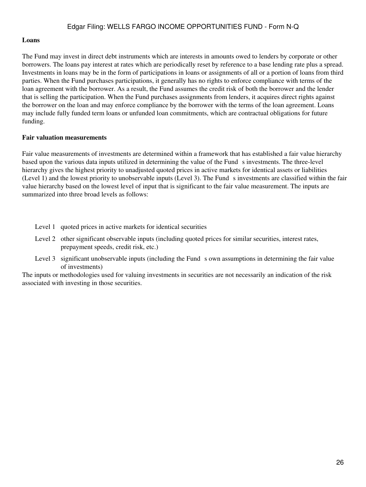### **Loans**

The Fund may invest in direct debt instruments which are interests in amounts owed to lenders by corporate or other borrowers. The loans pay interest at rates which are periodically reset by reference to a base lending rate plus a spread. Investments in loans may be in the form of participations in loans or assignments of all or a portion of loans from third parties. When the Fund purchases participations, it generally has no rights to enforce compliance with terms of the loan agreement with the borrower. As a result, the Fund assumes the credit risk of both the borrower and the lender that is selling the participation. When the Fund purchases assignments from lenders, it acquires direct rights against the borrower on the loan and may enforce compliance by the borrower with the terms of the loan agreement. Loans may include fully funded term loans or unfunded loan commitments, which are contractual obligations for future funding.

## **Fair valuation measurements**

Fair value measurements of investments are determined within a framework that has established a fair value hierarchy based upon the various data inputs utilized in determining the value of the Funds investments. The three-level hierarchy gives the highest priority to unadjusted quoted prices in active markets for identical assets or liabilities (Level 1) and the lowest priority to unobservable inputs (Level 3). The Funds investments are classified within the fair value hierarchy based on the lowest level of input that is significant to the fair value measurement. The inputs are summarized into three broad levels as follows:

- Level 1 quoted prices in active markets for identical securities
- Level 2 other significant observable inputs (including quoted prices for similar securities, interest rates, prepayment speeds, credit risk, etc.)
- Level 3 significant unobservable inputs (including the Fund s own assumptions in determining the fair value of investments)

The inputs or methodologies used for valuing investments in securities are not necessarily an indication of the risk associated with investing in those securities.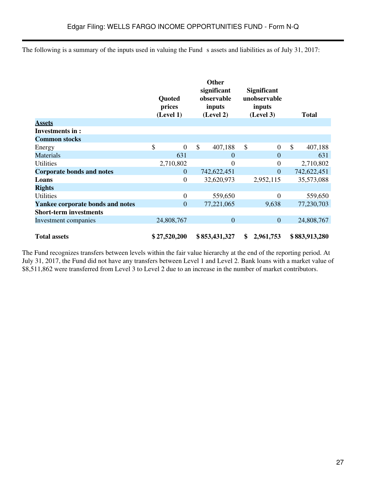The following is a summary of the inputs used in valuing the Fund s assets and liabilities as of July 31, 2017:

| <b>Assets</b>                    | Quoted<br>prices<br>(Level 1) | <b>Other</b><br>significant<br>observable<br>inputs<br>(Level 2) | <b>Significant</b><br>unobservable<br>inputs<br>(Level 3) | <b>Total</b>  |
|----------------------------------|-------------------------------|------------------------------------------------------------------|-----------------------------------------------------------|---------------|
| Investments in :                 |                               |                                                                  |                                                           |               |
| <b>Common stocks</b>             |                               |                                                                  |                                                           |               |
| Energy                           | \$<br>$\boldsymbol{0}$        | \$<br>407,188                                                    | \$<br>$\boldsymbol{0}$                                    | \$<br>407,188 |
| <b>Materials</b>                 | 631                           | $\overline{0}$                                                   | $\theta$                                                  | 631           |
| Utilities                        | 2,710,802                     | 0                                                                | $\boldsymbol{0}$                                          | 2,710,802     |
| <b>Corporate bonds and notes</b> | $\overline{0}$                | 742,622,451                                                      | $\theta$                                                  | 742,622,451   |
| Loans                            | $\boldsymbol{0}$              | 32,620,973                                                       | 2,952,115                                                 | 35,573,088    |
| <b>Rights</b>                    |                               |                                                                  |                                                           |               |
| <b>Utilities</b>                 | $\boldsymbol{0}$              | 559,650                                                          | $\overline{0}$                                            | 559,650       |
| Yankee corporate bonds and notes | $\overline{0}$                | 77,221,065                                                       | 9,638                                                     | 77,230,703    |
| <b>Short-term investments</b>    |                               |                                                                  |                                                           |               |
| Investment companies             | 24,808,767                    | $\overline{0}$                                                   | $\overline{0}$                                            | 24,808,767    |
| <b>Total assets</b>              | \$27,520,200                  | \$853,431,327                                                    | 2,961,753<br>\$                                           | \$883,913,280 |

The Fund recognizes transfers between levels within the fair value hierarchy at the end of the reporting period. At July 31, 2017, the Fund did not have any transfers between Level 1 and Level 2. Bank loans with a market value of \$8,511,862 were transferred from Level 3 to Level 2 due to an increase in the number of market contributors.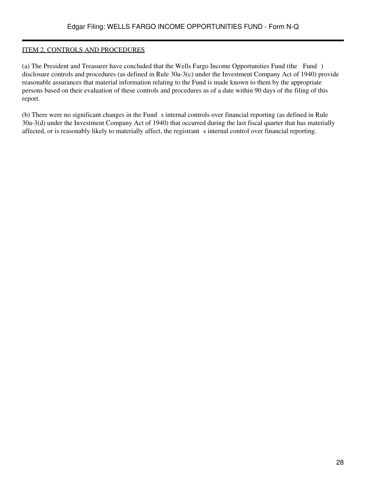## ITEM 2. CONTROLS AND PROCEDURES

(a) The President and Treasurer have concluded that the Wells Fargo Income Opportunities Fund (the Fund) disclosure controls and procedures (as defined in Rule 30a-3(c) under the Investment Company Act of 1940) provide reasonable assurances that material information relating to the Fund is made known to them by the appropriate persons based on their evaluation of these controls and procedures as of a date within 90 days of the filing of this report.

(b) There were no significant changes in the Fund s internal controls over financial reporting (as defined in Rule 30a-3(d) under the Investment Company Act of 1940) that occurred during the last fiscal quarter that has materially affected, or is reasonably likely to materially affect, the registrant s internal control over financial reporting.